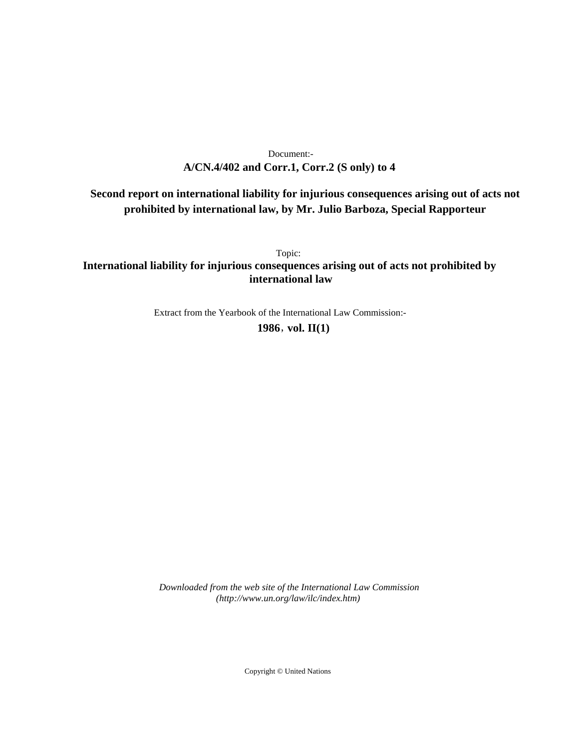# **A/CN.4/402 and Corr.1, Corr.2 (S only) to 4** Document:-

# **Second report on international liability for injurious consequences arising out of acts not prohibited by international law, by Mr. Julio Barboza, Special Rapporteur**

Topic:

**International liability for injurious consequences arising out of acts not prohibited by international law**

Extract from the Yearbook of the International Law Commission:-

**1986** , **vol. II(1)**

*Downloaded from the web site of the International Law Commission (http://www.un.org/law/ilc/index.htm)*

Copyright © United Nations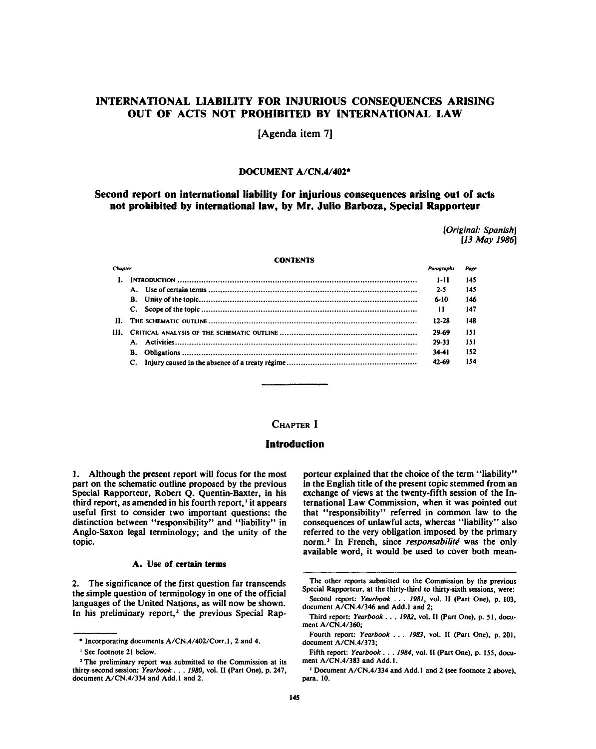# **INTERNATIONAL LIABILITY FOR INJURIOUS CONSEQUENCES ARISING OUT OF ACTS NOT PROHIBITED BY INTERNATIONAL LAW**

**[Agenda item 7]**

### DOCUMENT A/CN.4/402\*

# **Second report on international liability for injurious consequences arising out of acts not prohibited by international law, by Mr. Julio Barboza, Special Rapporteur**

*[Original: Spanish] [13 May 1986]*

#### **CONTENTS**

| Chaoter      |    | Paragraphs | Puge |
|--------------|----|------------|------|
| $\mathbf{L}$ |    | $1 - 11$   | 145  |
|              |    | $2-5$      | 145  |
|              |    | $6 - 10$   | 146  |
|              |    | 11         | 147  |
| 11.          |    | $12 - 28$  | 148  |
| Ш.           |    | 29-69      | 151  |
|              |    | 29-33      | 151  |
|              | B. | 34-41      | 152  |
|              | C. | 42-69      | 154  |
|              |    |            |      |

# CHAPTER I

### **Introduction**

1. Although the present report will focus for the most part on the schematic outline proposed by the previous Special Rapporteur, Robert Q. Quentin-Baxter, in his third report, as amended in his fourth report,' it appears useful first to consider two important questions: the distinction between "responsibility" and "liability" in Anglo-Saxon legal terminology; and the unity of the topic.

### A. Use of certain terms

2. The significance of the first question far transcends the simple question of terminology in one of the official languages of the United Nations, as will now be shown. In his preliminary report,<sup>2</sup> the previous Special Rap-

porteur explained that the choice of the term "liability" in the English title of the present topic stemmed from an exchange of views at the twenty-fifth session of the International Law Commission, when it was pointed out that "responsibility" referred in common law to the consequences of unlawful acts, whereas "liability" also referred to the very obligation imposed by the primary norm.<sup>3</sup> In French, since responsabilité was the only available word, it would be used to cover both mean-

document A/CN.4/346 and Add.l and 2;

Third report: *Yearbook* . . . *1982,* vol. II (Part One), p. 51, document A/CN.4/360;

<sup>\*</sup> Incorporating documents A/CN.4/402/Corr.l, 2 and 4.

<sup>1</sup> See footnote 21 below.

<sup>&</sup>lt;sup>2</sup> The preliminary report was submitted to the Commission at its thirty-second session: *Yearbook .* . *. 1980,* vol. **11** (Part One), p. 247, document A/CN.4/334 and Add.l and 2.

The other reports submitted to the Commission by the previous Special Rapporteur, at the thirty-third to thirty-sixth sessions, were: Second report: *Yearbook . . . 1981,* vol. II (Part One), p. 103,

Fourth report: *Yearbook . . . 1983,* vol. II (Part One), p. 201, document A/CN.4/373;

Fifth report: *Yearbook . . . 1984,* vol. II (Part One), p. 155, document A/CN.4/383 and Add.l.

<sup>&</sup>lt;sup>1</sup> Document A/CN.4/334 and Add.1 and 2 (see footnote 2 above), para. 10.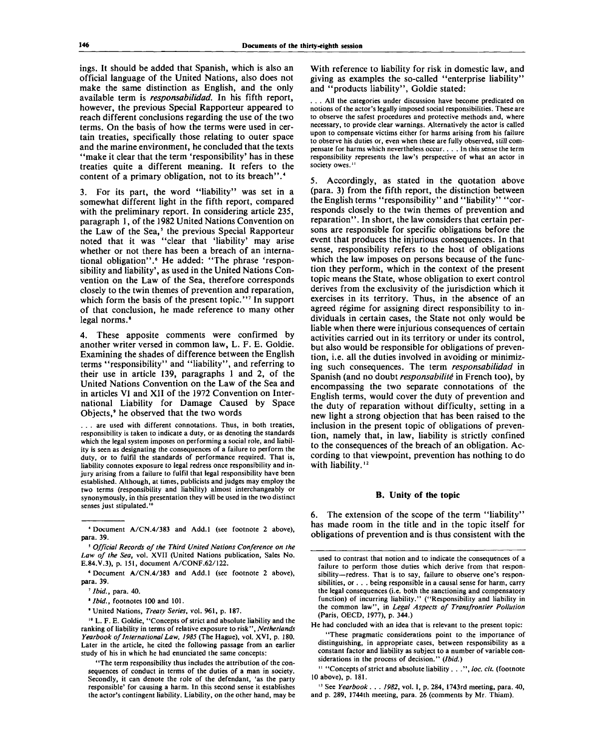ings. It should be added that Spanish, which is also an official language of the United Nations, also does not make the same distinction as English, and the only available term is *responsabilidad.* In his fifth report, however, the previous Special Rapporteur appeared to reach different conclusions regarding the use of the two terms. On the basis of how the terms were used in certain treaties, specifically those relating to outer space and the marine environment, he concluded that the texts "make it clear that the term 'responsibility' has in these treaties quite a different meaning. It refers to the content of a primary obligation, not to its breach".<sup>4</sup>

3. For its part, the word "liability" was set in a somewhat different light in the fifth report, compared with the preliminary report. In considering article 235, paragraph 1, of the 1982 United Nations Convention on the Law of the Sea,<sup>5</sup> the previous Special Rapporteur noted that it was "clear that 'liability' may arise whether or not there has been a breach of an international obligation".<sup>6</sup> He added: "The phrase 'responsibility and liability', as used in the United Nations Convention on the Law of the Sea, therefore corresponds closely to the twin themes of prevention and reparation, which form the basis of the present topic."<sup>7</sup> In support of that conclusion, he made reference to many other legal norms.<sup>8</sup>

4. These apposite comments were confirmed by another writer versed in common law, L. F. E. Goldie. Examining the shades of difference between the English terms "responsibility" and "liability", and referring to their use in article 139, paragraphs 1 and 2, of the United Nations Convention on the Law of the Sea and in articles VI and XII of the 1972 Convention on International Liability for Damage Caused by Space Objects,<sup>9</sup> he observed that the two words

. . . are used with different connotations. Thus, in both treaties, responsibility is taken to indicate a duty, or as denoting the standards which the legal system imposes on performing a social role, and liability is seen as designating the consequences of a failure to perform the duty, or to fulfil the standards of performance required. That is, liability connotes exposure to legal redress once responsibility and injury arising from a failure to fulfil that legal responsibility have been established. Although, at times, publicists and judges may employ the two terms (responsibility and liability) almost interchangeably or synonymously, in this presentation they will be used in the two distinct senses just stipulated.<sup>11</sup>

7  *Ibid.*, para. 40.

' United Nations, *Treaty Series,* vol. 961, p. 187.

With reference to liability for risk in domestic law, and giving as examples the so-called "enterprise liability" and "products liability", Goldie stated:

. . . All the categories under discussion have become predicated on notions of the actor's legally imposed social responsibilities. These are to observe the safest procedures and protective methods and, where necessary, to provide clear warnings. Alternatively the actor is called upon to compensate victims either for harms arising from his failure to observe his duties or, even when these are fully observed, still compensate for harms which nevertheless occur. .. . In this sense the term responsibility represents the law's perspective of what an actor in society owes.<sup>1</sup>

5. Accordingly, as stated in the quotation above (para. 3) from the fifth report, the distinction between the English terms "responsibility" and "liability" "corresponds closely to the twin themes of prevention and reparation". In short, the law considers that certain persons are responsible for specific obligations before the event that produces the injurious consequences. In that sense, responsibility refers to the host of obligations which the law imposes on persons because of the function they perform, which in the context of the present topic means the State, whose obligation to exert control derives from the exclusivity of the jurisdiction which it exercises in its territory. Thus, in the absence of an agreed régime for assigning direct responsibility to individuals in certain cases, the State not only would be liable when there were injurious consequences of certain activities carried out in its territory or under its control, but also would be responsible for obligations of prevention, i.e. all the duties involved in avoiding or minimizing such consequences. The term *responsabilidad* in Spanish (and no doubt *responsabilite* in French too), by encompassing the two separate connotations of the English terms, would cover the duty of prevention and the duty of reparation without difficulty, setting in a new light a strong objection that has been raised to the inclusion in the present topic of obligations of prevention, namely that, in law, liability is strictly confined to the consequences of the breach of an obligation. According to that viewpoint, prevention has nothing to do with liability.<sup>12</sup>

### **B. Unity of the topic**

6. The extension of the scope of the term "liability" has made room in the title and in the topic itself for obligations of prevention and is thus consistent with the

<sup>4</sup> Document A/CN.4/383 and Add.l (see footnote 2 above), para. 39.

<sup>3</sup>  *Official Records of the Third United Nations Conference on the Law of the Sea,* vol. XVII (United Nations publication, Sales No. E.84.V.3), p. 151, document A/CONF.62/122.

<sup>6</sup> Document A/CN.4/383 and Add.l (see footnote 2 above), para. 39.

<sup>•</sup> *Ibid.,* footnotes 100 and 101.

<sup>10</sup> L. F. E. Goldie, "Concepts of strict and absolute liability and the ranking of liability in terms of relative exposure to risk", *Netherlands Yearbook of International Law, 1985* (The Hague), vol. XVI, p. 180. Later in the article, he cited the following passage from an earlier study of his in which he had enunciated the same concepts:

<sup>&</sup>quot;The term responsibility thus includes the attribution of the consequences of conduct in terms of the duties of a man in society. Secondly, it can denote the role of the defendant, 'as the party responsible' for causing a harm. In this second sense it establishes the actor's contingent liability. Liability, on the other hand, may be

used to contrast that notion and to indicate the consequences of a failure to perform those duties which derive from that responsibility—redress. That is to say, failure to observe one's responsibilities, or .. . being responsible in a causal sense for harm, carry the legal consequences (i.e. both the sanctioning and compensatory function) of incurring liability." ("Responsibility and liability in the common law", in *Legal Aspects of Transfrontier Pollution* (Paris, OECD, 1977), p. 344.)

He had concluded with an idea that is relevant to the present topic: "These pragmatic considerations point to the importance of distinguishing, in appropriate cases, between responsibility as a constant factor and liability as subject to a number of variable considerations in the process of decision." *(Ibid.)*

<sup>&</sup>lt;sup>11</sup> "Concepts of strict and absolute liability . . .", loc. cit. (footnote 10 above), p. 181.

<sup>12</sup> See *Yearbook. . . 1982,* vol. I, p. 284, 1743rd meeting, para. 40, and p. 289, 1744th meeting, para. 26 (comments by Mr. Thiam).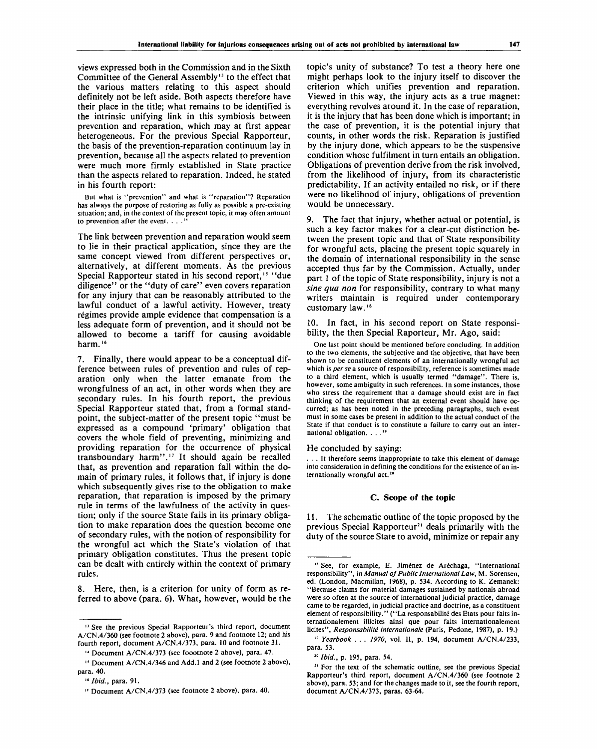views expressed both in the Commission and in the Sixth Committee of the General Assembly<sup>13</sup> to the effect that the various matters relating to this aspect should definitely not be left aside. Both aspects therefore have their place in the title; what remains to be identified is the intrinsic unifying link in this symbiosis between prevention and reparation, which may at first appear heterogeneous. For the previous Special Rapporteur, the basis of the prevention-reparation continuum lay in prevention, because all the aspects related to prevention were much more firmly established in State practice than the aspects related to reparation. Indeed, he stated in his fourth report:

But what is "prevention" and what is "reparation"? Reparation has always the purpose of restoring as fully as possible a pre-existing situation; and, in the context of the present topic, it may often amount to prevention after the event.  $\ldots$ 

The link between prevention and reparation would seem to lie in their practical application, since they are the same concept viewed from different perspectives or, alternatively, at different moments. As the previous Special Rapporteur stated in his second report,<sup>15</sup> "due diligence" or the "duty of care" even covers reparation for any injury that can be reasonably attributed to the lawful conduct of a lawful activity. However, treaty régimes provide ample evidence that compensation is a less adequate form of prevention, and it should not be allowed to become a tariff for causing avoidable harm.<sup>16</sup>

7. Finally, there would appear to be a conceptual difference between rules of prevention and rules of reparation only when the latter emanate from the wrongfulness of an act, in other words when they are secondary rules. In his fourth report, the previous Special Rapporteur stated that, from a formal standpoint, the subject-matter of the present topic "must be expressed as a compound 'primary' obligation that covers the whole field of preventing, minimizing and providing reparation for the occurrence of physical transboundary harm".<sup>17</sup> It should again be recalled that, as prevention and reparation fall within the domain of primary rules, it follows that, if injury is done which subsequently gives rise to the obligation to make reparation, that reparation is imposed by the primary rule in terms of the lawfulness of the activity in question; only if the source State fails in its primary obligation to make reparation does the question become one of secondary rules, with the notion of responsibility for the wrongful act which the State's violation of that primary obligation constitutes. Thus the present topic can be dealt with entirely within the context of primary rules.

8. Here, then, is a criterion for unity of form as referred to above (para. 6). What, however, would be the topic's unity of substance? To test a theory here one might perhaps look to the injury itself to discover the criterion which unifies prevention and reparation. Viewed in this way, the injury acts as a true magnet: everything revolves around it. In the case of reparation, it is the injury that has been done which is important; in the case of prevention, it is the potential injury that counts, in other words the risk. Reparation is justified by the injury done, which appears to be the suspensive condition whose fulfilment in turn entails an obligation. Obligations of prevention derive from the risk involved, from the likelihood of injury, from its characteristic predictability. If an activity entailed no risk, or if there were no likelihood of injury, obligations of prevention would be unnecessary.

9. The fact that injury, whether actual or potential, is such a key factor makes for a clear-cut distinction between the present topic and that of State responsibility for wrongful acts, placing the present topic squarely in the domain of international responsibility in the sense accepted thus far by the Commission. Actually, under part 1 of the topic of State responsibility, injury is not a *sine qua non* for responsibility, contrary to what many writers maintain is required under contemporary customary law.<sup>18</sup>

10. In fact, in his second report on State responsibility, the then Special Raporteur, Mr. Ago, said:

One last point should be mentioned before concluding. In addition to the two elements, the subjective and the objective, that have been shown to be constituent elements of an internationally wrongful act which is *per se* a source of responsibility, reference is sometimes made to a third element, which is usually termed "damage". There is, however, some ambiguity in such references. In some instances, those who stress the requirement that a damage should exist are in fact thinking of the requirement that an external event should have occurred; as has been noted in the preceding paragraphs, such event must in some cases be present in addition to the actual conduct of the State if that conduct is to constitute a failure to carry out an international obligation. . . . "

#### He concluded by saying:

.. It therefore seems inappropriate to take this element of damage into consideration in defining the conditions for the existence of an internationally wrongful act.<sup>2</sup>

#### **C. Scope of the topic**

11. The schematic outline of the topic proposed by the previous Special Rapporteur<sup>21</sup> deals primarily with the duty of the source State to avoid, minimize or repair any

<sup>&</sup>lt;sup>13</sup> See the previous Special Rapporteur's third report, document A/CN.4/360 (see footnote 2 above), para. 9 and footnote 12; and his fourth report, document A/CN.4/373, para. 10 and footnote 31.

<sup>14</sup> Document A/CN.4/373 (see foootnote 2 above), para. 47.

<sup>&</sup>lt;sup>15</sup> Document A/CN.4/346 and Add.1 and 2 (see footnote 2 above), para. 40.

*<sup>&</sup>quot;Ibid.,* para. 91.

<sup>&</sup>quot; Document A/CN.4/373 (see footnote 2 above), para. 40.

<sup>&</sup>lt;sup>18</sup> See, for example, E. Jiménez de Aréchaga, "International responsibility", in Manual of Public International Law, M. Sorensen, ed. (London, Macmillan, 1968), p. 534. According to K. Zemanek: "Because claims for material damages sustained by nationals abroad were so often at the source of international judicial practice, damage came to be regarded, in judicial practice and doctrine, as a constituent element of responsibility." ("La responsabilite des Etats pour faits internationalement illicites ainsi que pour faits internationalement licites", Responsabilité internationale (Paris, Pedone, 1987), p. 19.)

<sup>&</sup>lt;sup>19</sup> Yearbook . . . 1970, vol. 11, p. 194, document A/CN.4/233, para. 53.

<sup>20</sup>  *Ibid.,* p. 195, para. 54.

<sup>&</sup>lt;sup>21</sup> For the text of the schematic outline, see the previous Special Rapporteur's third report, document A/CN.4/360 (see footnote 2 above), para. 53; and for the changes made to it, see the fourth report, document A/CN.4/373, paras. 63-64.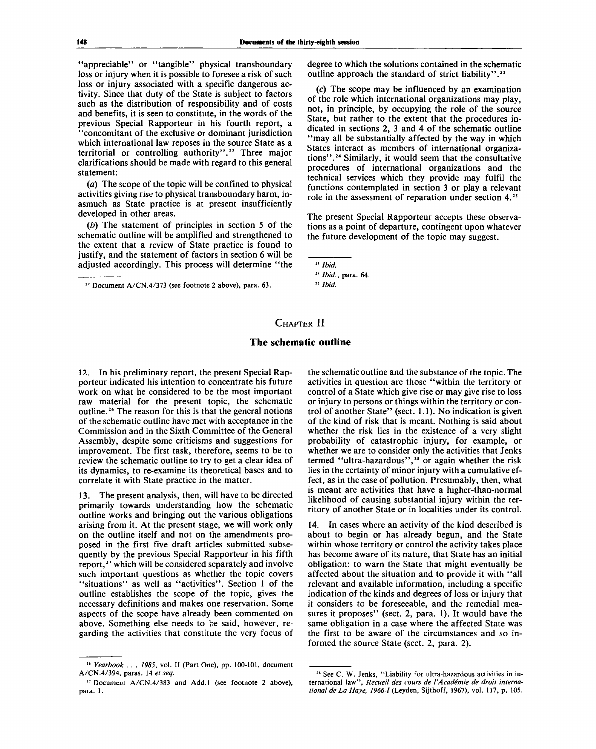"appreciable" or "tangible" physical transboundary loss or injury when it is possible to foresee a risk of such loss or injury associated with a specific dangerous activity. Since that duty of the State is subject to factors such as the distribution of responsibility and of costs and benefits, it is seen to constitute, in the words of the previous Special Rapporteur in his fourth report, a "concomitant of the exclusive or dominant jurisdiction which international law reposes in the source State as a territorial or controlling authority".<sup>22</sup> Three major clarifications should be made with regard to this general statement:

*(a)* The scope of the topic will be confined to physical activities giving rise to physical transboundary harm, inasmuch as State practice is at present insufficiently developed in other areas.

*(b)* The statement of principles in section 5 of the schematic outline will be amplified and strengthened to the extent that a review of State practice is found to justify, and the statement of factors in section 6 will be adjusted accordingly. This process will determine "the

22 Document A/CN.4/373 (see footnote 2 above), para. 63.

degree to which the solutions contained in the schematic outline approach the standard of strict liability".<sup>23</sup>

(c) The scope may be influenced by an examination of the role which international organizations may play, not, in principle, by occupying the role of the source State, but rather to the extent that the procedures indicated in sections 2, 3 and 4 of the schematic outline "may all be substantially affected by the way in which States interact as members of international organizations".<sup>24</sup> Similarly, it would seem that the consultative procedures of international organizations and the technical services which they provide may fulfil the functions contemplated in section 3 or play a relevant role in the assessment of reparation under section 4.<sup>25</sup>

The present Special Rapporteur accepts these observations as a point of departure, contingent upon whatever the future development of the topic may suggest.

# CHAPTER **II**

## **The schematic outline**

12. In his preliminary report, the present Special Rapporteur indicated his intention to concentrate his future work on what he considered to be the most important raw material for the present topic, the schematic outline.<sup>26</sup> The reason for this is that the general notions of the schematic outline have met with acceptance in the Commission and in the Sixth Committee of the General Assembly, despite some criticisms and suggestions for improvement. The first task, therefore, seems to be to review the schematic outline to try to get a clear idea of its dynamics, to re-examine its theoretical bases and to correlate it with State practice in the matter.

13. The present analysis, then, will have to be directed primarily towards understanding how the schematic outline works and bringing out the various obligations arising from it. At the present stage, we will work only on the outline itself and not on the amendments proposed in the first five draft articles submitted subsequently by the previous Special Rapporteur in his fifth report,<sup>27</sup> which will be considered separately and involve such important questions as whether the topic covers "situations" as well as "activities". Section 1 of the outline establishes the scope of the topic, gives the necessary definitions and makes one reservation. Some aspects of the scope have already been commented on above. Something else needs to be said, however, regarding the activities that constitute the very focus of the schematic outline and the substance of the topic. The activities in question are those "within the territory or control of a State which give rise or may give rise to loss or injury to persons or things within the territory or control of another State" (sect. 1.1). No indication is given of the kind of risk that is meant. Nothing is said about whether the risk lies in the existence of a very slight probability of catastrophic injury, for example, or whether we are to consider only the activities that Jenks termed "ultra-hazardous",<sup>28</sup> or again whether the risk lies in the certainty of minor injury with a cumulative effect, as in the case of pollution. Presumably, then, what is meant are activities that have a higher-than-normal likelihood of causing substantial injury within the territory of another State or in localities under its control.

14. In cases where an activity of the kind described is about to begin or has already begun, and the State within whose territory or control the activity takes place has become aware of its nature, that State has an initial obligation: to warn the State that might eventually be affected about the situation and to provide it with "all relevant and available information, including a specific indication of the kinds and degrees of loss or injury that it considers to be foreseeable, and the remedial measures it proposes" (sect. 2, para. 1). It would have the same obligation in a case where the affected State was the first to be aware of the circumstances and so informed the source State (sect. 2, para. 2).

<sup>23</sup> Ibid.

<sup>&</sup>lt;sup>24</sup> *Ibid.*, para. 64.

<sup>25</sup>  *Ibid.*

<sup>26</sup>  *Yearbook . . . 1985,* vol. II (Part One), pp. 100-101, document A/CN.4/394, paras. 14 *et seq.*

<sup>27</sup> Document A/CN.4/383 and Add.l (see footnote 2 above), para. 1.

<sup>&</sup>lt;sup>28</sup> See C. W. Jenks, "Liability for ultra-hazardous activities in international law", *Recueil des cours de I'Academie de droit international de La Haye, 1966-1* (Leyden, Sijthoff, 1967), vol. 117, p. 105.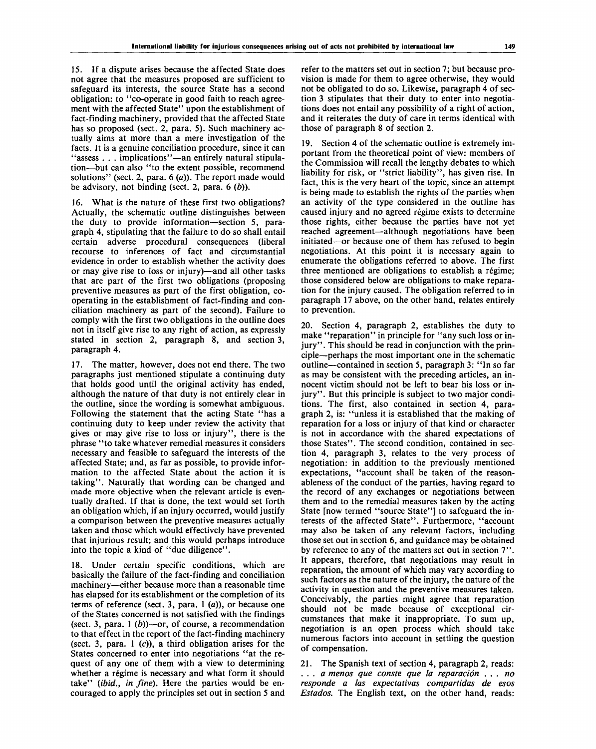15. If a dispute arises because the affected State does not agree that the measures proposed are sufficient to safeguard its interests, the source State has a second obligation: to "co-operate in good faith to reach agreement with the affected State" upon the establishment of fact-finding machinery, provided that the affected State has so proposed (sect. 2, para. 5). Such machinery actually aims at more than a mere investigation of the facts. It is a genuine conciliation procedure, since it can "assess . . . implications"—an entirely natural stipulation—but can also "to the extent possible, recommend solutions" (sect. 2, para. 6 *(a)).* The report made would be advisory, not binding (sect. 2, para. 6 *(b)).*

16. What is the nature of these first two obligations? Actually, the schematic outline distinguishes between the duty to provide information—section 5, paragraph 4, stipulating that the failure to do so shall entail certain adverse procedural consequences (liberal recourse to inferences of fact and circumstantial evidence in order to establish whether the activity does or may give rise to loss or injury)—and all other tasks that are part of the first two obligations (proposing preventive measures as part of the first obligation, cooperating in the establishment of fact-finding and conciliation machinery as part of the second). Failure to comply with the first two obligations in the outline does not in itself give rise to any right of action, as expressly stated in section 2, paragraph 8, and section 3, paragraph 4.

17. The matter, however, does not end there. The two paragraphs just mentioned stipulate a continuing duty that holds good until the original activity has ended, although the nature of that duty is not entirely clear in the outline, since the wording is somewhat ambiguous. Following the statement that the acting State "has a continuing duty to keep under review the activity that gives or may give rise to loss or injury", there is the phrase "to take whatever remedial measures it considers necessary and feasible to safeguard the interests of the affected State; and, as far as possible, to provide information to the affected State about the action it is taking". Naturally that wording can be changed and made more objective when the relevant article is eventually drafted. If that is done, the text would set forth an obligation which, if an injury occurred, would justify a comparison between the preventive measures actually taken and those which would effectively have prevented that injurious result; and this would perhaps introduce into the topic a kind of "due diligence".

18. Under certain specific conditions, which are basically the failure of the fact-finding and conciliation machinery—either because more than a reasonable time has elapsed for its establishment or the completion of its terms of reference (sect. 3, para. 1 *(a)),* or because one of the States concerned is not satisfied with the findings (sect. 3, para. 1 *(b))*—or, of course, a recommendation to that effect in the report of the fact-finding machinery (sect. 3, para. 1  $(c)$ ), a third obligation arises for the States concerned to enter into negotiations "at the request of any one of them with a view to determining whether a régime is necessary and what form it should take" *(ibid., in fine).* Here the parties would be encouraged to apply the principles set out in section 5 and

refer to the matters set out in section 7; but because provision is made for them to agree otherwise, they would not be obligated to do so. Likewise, paragraph 4 of section 3 stipulates that their duty to enter into negotiations does not entail any possibility of a right of action, and it reiterates the duty of care in terms identical with those of paragraph 8 of section 2.

19. Section 4 of the schematic outline is extremely important from the theoretical point of view: members of the Commission will recall the lengthy debates to which liability for risk, or "strict liability", has given rise. In fact, this is the very heart of the topic, since an attempt is being made to establish the rights of the parties when an activity of the type considered in the outline has caused injury and no agreed régime exists to determine those rights, either because the parties have not yet reached agreement—although negotiations have been initiated—or because one of them has refused to begin negotiations. At this point it is necessary again to enumerate the obligations referred to above. The first three mentioned are obligations to establish a régime; those considered below are obligations to make reparation for the injury caused. The obligation referred to in paragraph 17 above, on the other hand, relates entirely to prevention.

20. Section 4, paragraph 2, establishes the duty to make "reparation" in principle for "any such loss or injury". This should be read in conjunction with the principle—perhaps the most important one in the schematic outline—contained in section 5, paragraph 3: "In so far as may be consistent with the preceding articles, an innocent victim should not be left to bear his loss or injury". But this principle is subject to two major conditions. The first, also contained in section 4, paragraph 2, is: "unless it is established that the making of reparation for a loss or injury of that kind or character is not in accordance with the shared expectations of those States". The second condition, contained in section 4, paragraph 3, relates to the very process of negotiation: in addition to the previously mentioned expectations, "account shall be taken of the reasonableness of the conduct of the parties, having regard to the record of any exchanges or negotiations between them and to the remedial measures taken by the acting State [now termed "source State"] to safeguard the interests of the affected State". Furthermore, "account may also be taken of any relevant factors, including those set out in section 6, and guidance may be obtained by reference to any of the matters set out in section 7". It appears, therefore, that negotiations may result in reparation, the amount of which may vary according to such factors as the nature of the injury, the nature of the activity in question and the preventive measures taken. Conceivably, the parties might agree that reparation should not be made because of exceptional circumstances that make it inappropriate. To sum up, negotiation is an open process which should take numerous factors into account in settling the question of compensation.

21. The Spanish text of section 4, paragraph 2, reads: . . . *a menos que conste que la reparation . . . no responde a las expectativas compartidas de esos Estados.* The English text, on the other hand, reads: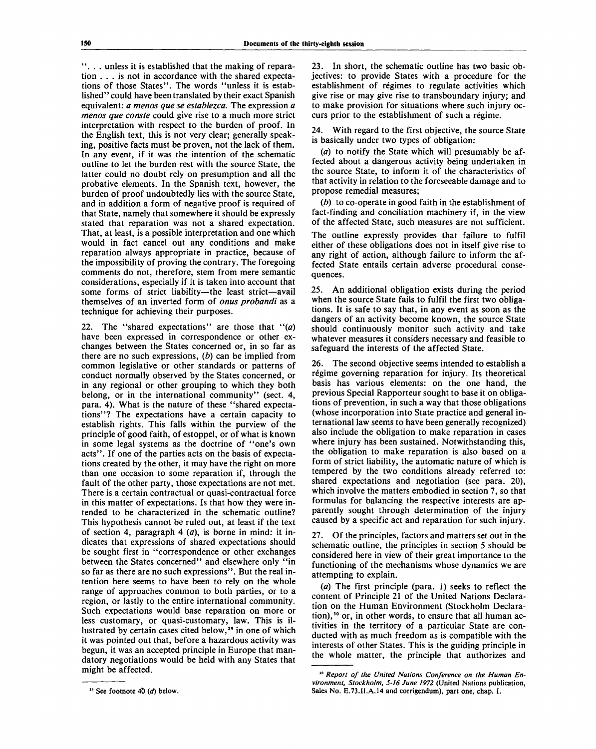".. . unless it is established that the making of reparation .. . is not in accordance with the shared expectations of those States". The words "unless it is established" could have been translated by their exact Spanish equivalent: *a menos que se establezca.* The expression *a menos que conste* could give rise to a much more strict interpretation with respect to the burden of proof. In the English text, this is not very clear; generally speaking, positive facts must be proven, not the lack of them. In any event, if it was the intention of the schematic outline to let the burden rest with the source State, the latter could no doubt rely on presumption and all the probative elements. In the Spanish text, however, the burden of proof undoubtedly lies with the source State, and in addition a form of negative proof is required of that State, namely that somewhere it should be expressly stated that reparation was not a shared expectation. That, at least, is a possible interpretation and one which would in fact cancel out any conditions and make reparation always appropriate in practice, because of the impossibility of proving the contrary. The foregoing comments do not, therefore, stem from mere semantic considerations, especially if it is taken into account that some forms of strict liability—the least strict—avail themselves of an inverted form of *onus probandi* as a technique for achieving their purposes.

22. The "shared expectations" are those that  $(4)$ have been expressed in correspondence or other exchanges between the States concerned or, in so far as there are no such expressions, *(b)* can be implied from common legislative or other standards or patterns of conduct normally observed by the States concerned, or in any regional or other grouping to which they both belong, or in the international community" (sect. 4, para. 4). What is the nature of these "shared expectations"? The expectations have a certain capacity to establish rights. This falls within the purview of the principle of good faith, of estoppel, or of what is known in some legal systems as the doctrine of "one's own acts". If one of the parties acts on the basis of expectations created by the other, it may have the right on more than one occasion to some reparation if, through the fault of the other party, those expectations are not met. There is a certain contractual or quasi-contractual force in this matter of expectations. Is that how they were intended to be characterized in the schematic outline? This hypothesis cannot be ruled out, at least if the text of section 4, paragraph 4 *(a),* is borne in mind: it indicates that expressions of snared expectations should be sought first in "correspondence or other exchanges between the States concerned" and elsewhere only "in so far as there are no such expressions". But the real intention here seems to have been to rely on the whole range of approaches common to both parties, or to a region, or lastly to the entire international community. Such expectations would base reparation on more or less customary, or quasi-customary, law. This is illess customary, or quasi-customary, law. This is in-<br>lustrated by certain cases cited below, <sup>29</sup> in one of which it was pointed out that, before a hazardous activity was begun, it was an accepted principle in Europe that mandatory negotiations would be held with any States that might be affected.

23. In short, the schematic outline has two basic objectives: to provide States with a procedure for the establishment of regimes to regulate activities which give rise or may give rise to transboundary injury; and to make provision for situations where such injury occurs prior to the establishment of such a regime.

24. With regard to the first objective, the source State is basically under two types of obligation:

*(a)* to notify the State which will presumably be affected about a dangerous activity being undertaken in the source State, to inform it of the characteristics of that activity in relation to the foreseeable damage and to propose remedial measures;

*(b)* to co-operate in good faith in the establishment of fact-finding and conciliation machinery if, in the view of the affected State, such measures are not sufficient.

The outline expressly provides that failure to fulfil either of these obligations does not in itself give rise to any right of action, although failure to inform the affected State entails certain adverse procedural consequences.

25. An additional obligation exists during the period when the source State fails to fulfil the first two obligations. It is safe to say that, in any event as soon as the dangers of an activity become known, the source State should continuously monitor such activity and take whatever measures it considers necessary and feasible to safeguard the interests of the affected State.

26. The second objective seems intended to establish a régime governing reparation for injury. Its theoretical basis has various elements: on the one hand, the previous Special Rapporteur sought to base it on obligations of prevention, in such a way that those obligations (whose incorporation into State practice and general international law seems to have been generally recognized) also include the obligation to make reparation in cases where injury has been sustained. Notwithstanding this, the obligation to make reparation is also based on a form of strict liability, the automatic nature of which is tempered by the two conditions already referred to: shared expectations and negotiation (see para. 20), which involve the matters embodied in section 7, so that formulas for balancing the respective interests are apparently sought through determination of the injury caused by a specific act and reparation for such injury.

27. Of the principles, factors and matters set out in the schematic outline, the principles in section 5 should be considered here in view of their great importance to the functioning of the mechanisms whose dynamics we are attempting to explain.

*(a)* The first principle (para. 1) seeks to reflect the content of Principle 21 of the United Nations Declaration on the Human Environment (Stockholm Declaration),<sup>30</sup> or, in other words, to ensure that all human activities in the territory of a particular State are conducted with as much freedom as is compatible with the interests of other States. This is the guiding principle in the whole matter, the principle that authorizes and

<sup>&</sup>lt;sup>29</sup> See footnote 40 (d) below.

<sup>&</sup>lt;sup>30</sup> Report of the United Nations Conference on the Human En*vironment, Stockholm, 5-16 June 1972* (United Nations publication, Sales No. E.73.II.A. 14 and corrigendum), part one, chap. I.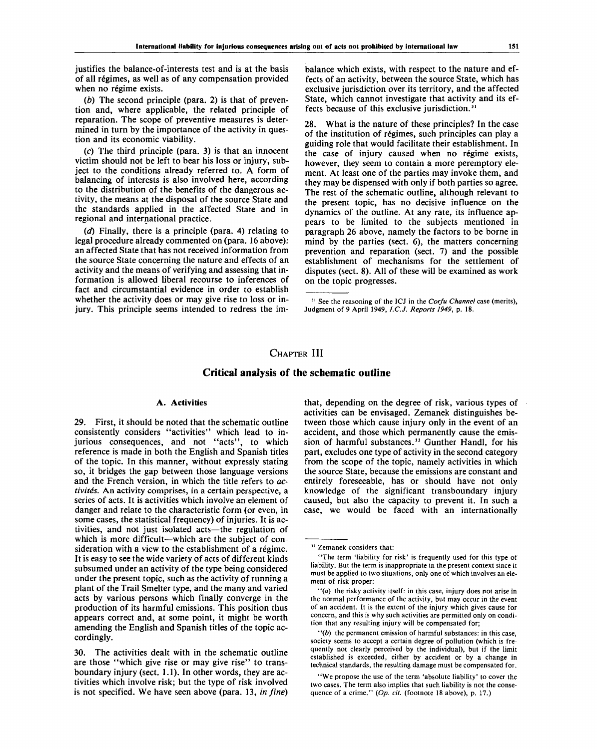justifies the balance-of-interests test and is at the basis of all regimes, as well as of any compensation provided when no régime exists.

*(b)* The second principle (para. 2) is that of prevention and, where applicable, the related principle of reparation. The scope of preventive measures is determined in turn by the importance of the activity in question and its economic viability.

(c) The third principle (para. 3) is that an innocent victim should not be left to bear his loss or injury, subject to the conditions already referred to. A form of balancing of interests is also involved here, according to the distribution of the benefits of the dangerous activity, the means at the disposal of the source State and the standards applied in the affected State and in regional and international practice.

*(d)* Finally, there is a principle (para. 4) relating to legal procedure already commented on (para. 16 above): an affected State that has not received information from the source State concerning the nature and effects of an activity and the means of verifying and assessing that information is allowed liberal recourse to inferences of fact and circumstantial evidence in order to establish whether the activity does or may give rise to loss or injury. This principle seems intended to redress the imbalance which exists, with respect to the nature and effects of an activity, between the source State, which has exclusive jurisdiction over its territory, and the affected State, which cannot investigate that activity and its effects because of this exclusive jurisdiction.<sup>31</sup>

28. What is the nature of these principles? In the case of the institution of regimes, such principles can play a guiding role that would facilitate their establishment. In the case of injury caused when no régime exists, however, they seem to contain a more peremptory element. At least one of the parties may invoke them, and they may be dispensed with only if both parties so agree. The rest of the schematic outline, although relevant to the present topic, has no decisive influence on the dynamics of the outline. At any rate, its influence appears to be limited to the subjects mentioned in paragraph 26 above, namely the factors to be borne in mind by the parties (sect. 6), the matters concerning prevention and reparation (sect. 7) and the possible establishment of mechanisms for the settlement of disputes (sect. 8). All of these will be examined as work on the topic progresses.

## **CHAPTER III**

### **Critical analysis of the schematic outline**

### **A. Activities**

29. First, it should be noted that the schematic outline consistently considers "activities" which lead to injurious consequences, and not "acts", to which reference is made in both the English and Spanish titles of the topic. In this manner, without expressly stating so, it bridges the gap between those language versions and the French version, in which the title refers to *activites.* An activity comprises, in a certain perspective, a series of acts. It is activities which involve an element of danger and relate to the characteristic form (or even, in some cases, the statistical frequency) of injuries. It is activities, and not just isolated acts—the regulation of which is more difficult—which are the subject of consideration with a view to the establishment of a régime. It is easy to see the wide variety of acts of different kinds subsumed under an activity of the type being considered under the present topic, such as the activity of running a plant of the Trail Smelter type, and the many and varied acts by various persons which finally converge in the production of its harmful emissions. This position thus appears correct and, at some point, it might be worth amending the English and Spanish titles of the topic accordingly.

30. The activities dealt with in the schematic outline are those "which give rise or may give rise" to transboundary injury (sect. 1.1). In other words, they are activities which involve risk; but the type of risk involved is not specified. We have seen above (para. 13, *in fine)* that, depending on the degree of risk, various types of activities can be envisaged. Zemanek distinguishes between those which cause injury only in the event of an accident, and those which permanently cause the emission of harmful substances.<sup>32</sup> Gunther Handl, for his part, excludes one type of activity in the second category from the scope of the topic, namely activities in which the source State, because the emissions are constant and entirely foreseeable, has or should have not only knowledge of the significant transboundary injury caused, but also the capacity to prevent it. In such a case, we would be faced with an internationally

<sup>&</sup>lt;sup>31</sup> See the reasoning of the ICJ in the *Corfu Channel* case (merits), Judgment of 9 April 1949, *I.C.J. Reports 1949,* p. 18.

<sup>32</sup> Zemanek considers that:

<sup>&</sup>quot;The term 'liability for risk' is frequently used for this type of liability. But the term is inappropriate in the present context since it must be applied to two situations, only one of which involves an element of risk proper:

<sup>&</sup>quot;( $a$ ) the risky activity itself: in this case, injury does not arise in the normal performance of the activity, but may occur in the event of an accident. It is the extent of the injury which gives cause for concern, and this is why such activities are permitted only on condition that any resulting injury will be compensated for;

 $''(b)$  the permanent emission of harmful substances: in this case, society seems to accept a certain degree of pollution (which is frequently not clearly perceived by the individual), but if the limit established is exceeded, either by accident or by a change in technical standards, the resulting damage must be compensated for.

<sup>&</sup>quot;We propose the use of the term 'absolute liability' to cover the two cases. The term also implies that such liability is not the consequence of a crime." *(Op. cit.* (footnote 18 above), p. 17.)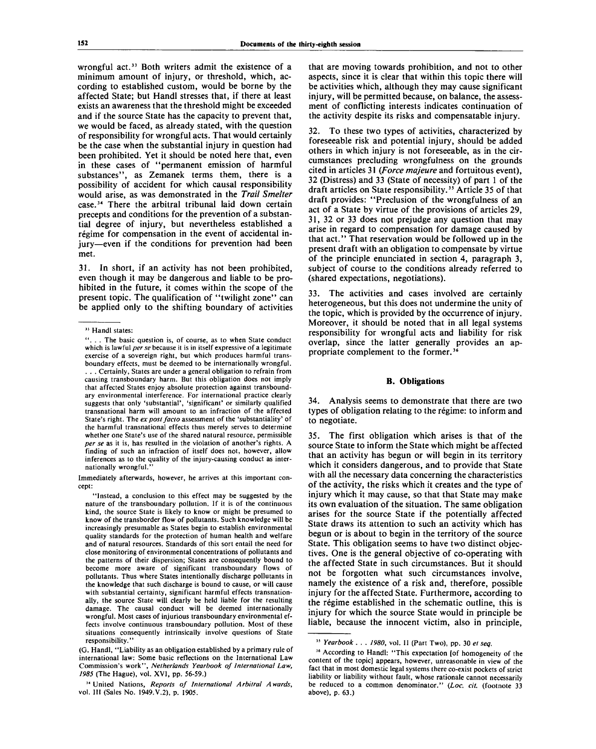wrongful act.<sup>33</sup> Both writers admit the existence of a minimum amount of injury, or threshold, which, according to established custom, would be borne by the affected State; but Handl stresses that, if there at least exists an awareness that the threshold might be exceeded and if the source State has the capacity to prevent that, we would be faced, as already stated, with the question of responsibility for wrongful acts. That would certainly be the case when the substantial injury in question had been prohibited. Yet it should be noted here that, even in these cases of "permanent emission of harmful substances", as Zemanek terms them, there is a possibility of accident for which causal responsibility would arise, as was demonstrated in the *Trail Smelter* case.<sup>34</sup> There the arbitral tribunal laid down certain precepts and conditions for the prevention of a substantial degree of injury, but nevertheless established a régime for compensation in the event of accidental injury—even if the conditions for prevention had been met.

31. In short, if an activity has not been prohibited, even though it may be dangerous and liable to be prohibited in the future, it comes within the scope of the present topic. The qualification of "twilight zone" can be applied only to the shifting boundary of activities

Immediately afterwards, however, he arrives at this important concept:

"Instead, a conclusion to this effect may be suggested by the nature of the transboundary pollution. If it is of the continuous kind, the source State is likely to know or might be presumed to know of the transborder flow of pollutants. Such knowledge will be increasingly presumable as States begin to establish environmental quality standards for the protection of human health and welfare and of natural resources. Standards of this sort entail the need for close monitoring of environmental concentrations of pollutants and the patterns of their dispersion; States are consequently bound to become more aware of significant transboundary flows of pollutants. Thus where States intentionally discharge pollutants in the knowledge that such discharge is bound to cause, or will cause with substantial certainty, significant harmful effects transnationally, the source State will clearly be held liable for the resulting damage. The causal conduct will be deemed internationally wrongful. Most cases of injurious transboundary environmental effects involve continuous transboundary pollution. Most of these situations consequently intrinsically involve questions of State responsibility."

34 United Nations, *Reports of International Arbitral Awards,* vol. Ill (Sales No. 1949.V.2), p. 1905.

that are moving towards prohibition, and not to other aspects, since it is clear that within this topic there will be activities which, although they may cause significant injury, will be permitted because, on balance, the assessment of conflicting interests indicates continuation of the activity despite its risks and compensatable injury.

32. To these two types of activities, characterized by foreseeable risk and potential injury, should be added others in which injury is not foreseeable, as in the circumstances precluding wrongfulness on the grounds cited in articles 31 *{Force majeure* and fortuitous event), 32 (Distress) and 33 (State of necessity) of part 1 of the draft articles on State responsibility.<sup>35</sup> Article 35 of that draft provides: "Preclusion of the wrongfulness of an act of a State by virtue of the provisions of articles 29, 31, 32 or 33 does not prejudge any question that may arise in regard to compensation for damage caused by that act." That reservation would be followed up in the present draft with an obligation to compensate by virtue of the principle enunciated in section 4, paragraph 3, subject of course to the conditions already referred to (shared expectations, negotiations).

33. The activities and cases involved are certainly heterogeneous, but this does not undermine the unity of the topic, which is provided by the occurrence of injury. Moreover, it should be noted that in all legal systems responsibility for wrongful acts and liability for risk overlap, since the latter generally provides an appropriate complement to the former.<sup>36</sup>

#### **B. Obligations**

34. Analysis seems to demonstrate that there are two types of obligation relating to the regime: to inform and to negotiate.

35. The first obligation which arises is that of the source State to inform the State which might be affected that an activity has begun or will begin in its territory which it considers dangerous, and to provide that State with all the necessary data concerning the characteristics of the activity, the risks which it creates and the type of injury which it may cause, so that that State may make its own evaluation of the situation. The same obligation arises for the source State if the potentially affected State draws its attention to such an activity which has begun or is about to begin in the territory of the source State. This obligation seems to have two distinct objectives. One is the general objective of co-operating with the affected State in such circumstances. But it should not be forgotten what such circumstances involve, namely the existence of a risk and, therefore, possible injury for the affected State. Furthermore, according to the régime established in the schematic outline, this is injury for which the source State would in principle be liable, because the innocent victim, also in principle,

<sup>&</sup>lt;sup>33</sup> Handl states:

<sup>..</sup> The basic question is, of course, as to when State conduct which is lawful *per se* because it is in itself expressive of a legitimate exercise of a sovereign right, but which produces harmful transboundary effects, must be deemed to be internationally wrongful. . . . Certainly, States are under a general obligation to refrain from causing transboundary harm. But this obligation does not imply that affected States enjoy absolute protection against transboundary environmental interference. For international practice clearly suggests that only 'substantial', 'significant' or similarly qualified transnational harm will amount to an infraction of the affected State's right. The *ex post facto* assessment of the 'substantiality' of the harmful transnational effects thus merely serves to determine whether one State's use of the shared natural resource, permissible *per se* as it is, has resulted in the violation of another's rights. A finding of such an infraction of itself does not, however, allow inferences as to the quality of the injury-causing conduct as internationally wrongful."

<sup>(</sup>G. Handl, "Liability as an obligation established by a primary rule of international law: Some basic reflections on the International Law Commission's work", *Netherlands Yearbook of International Law, 1985* (The Hague), vol. XVI, pp. 56-59.)

<sup>35</sup>  *Yearbook . . . 1980,* vol. II (Part Two), pp. 30 *et seq.*

<sup>36</sup> According to Handl: "This expectation [of homogeneity of the content of the topic] appears, however, unreasonable in view of the fact that in most domestic legal systems there co-exist pockets of strict liability or liability without fault, whose rationale cannot necessarily be reduced to a common denominator." *(Loc. cit.* (footnote 33 above), p. 63.)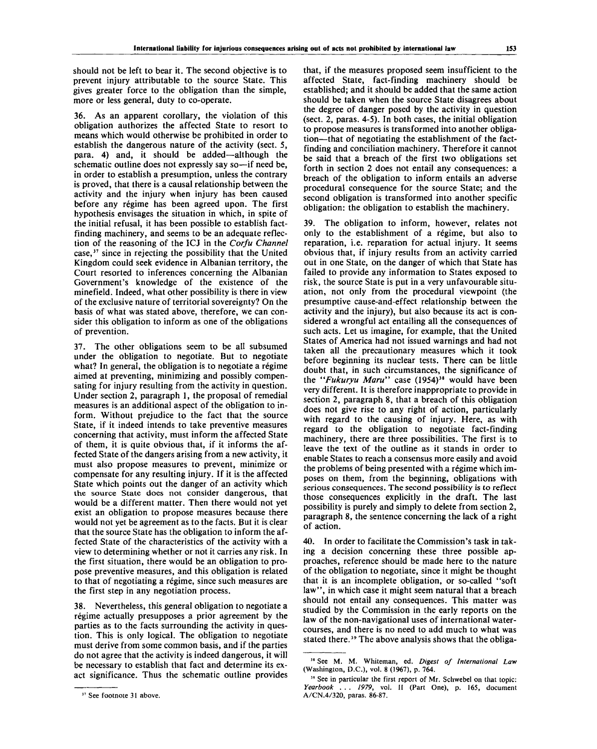should not be left to bear it. The second objective is to prevent injury attributable to the source State. This gives greater force to the obligation than the simple, more or less general, duty to co-operate.

36. As an apparent corollary, the violation of this obligation authorizes the affected State to resort to means which would otherwise be prohibited in order to establish the dangerous nature of the activity (sect. 5, para. 4) and, it should be added—although the schematic outline does not expressly say so—if need be, in order to establish a presumption, unless the contrary is proved, that there is a causal relationship between the activity and the injury when injury has been caused before any régime has been agreed upon. The first hypothesis envisages the situation in which, in spite of the initial refusal, it has been possible to establish factfinding machinery, and seems to be an adequate reflection of the reasoning of the ICJ in the *Corfu Channel* case,<sup>37</sup> since in rejecting the possibility that the United Kingdom could seek evidence in Albanian territory, the Court resorted to inferences concerning the Albanian Government's knowledge of the existence of the minefield. Indeed, what other possibility is there in view of the exclusive nature of territorial sovereignty? On the basis of what was stated above, therefore, we can consider this obligation to inform as one of the obligations of prevention.

37. The other obligations seem to be all subsumed under the obligation to negotiate. But to negotiate what? In general, the obligation is to negotiate a régime aimed at preventing, minimizing and possibly compensating for injury resulting from the activity in question. Under section 2, paragraph 1, the proposal of remedial measures is an additional aspect of the obligation to inform. Without prejudice to the fact that the source State, if it indeed intends to take preventive measures concerning that activity, must inform the affected State of them, it is quite obvious that, if it informs the affected State of the dangers arising from a new activity, it must also propose measures to prevent, minimize or compensate for any resulting injury. If it is the affected State which points out the danger of an activity which the source State does not consider dangerous, that would be a different matter. Then there would not yet exist an obligation to propose measures because there would not yet be agreement as to the facts. But it is clear that the source State has the obligation to inform the affected State of the characteristics of the activity with a view to determining whether or not it carries any risk. In the first situation, there would be an obligation to propose preventive measures, and this obligation is related to that of negotiating a régime, since such measures are the first step in any negotiation process.

38. Nevertheless, this general obligation to negotiate a régime actually presupposes a prior agreement by the parties as to the facts surrounding the activity in question. This is only logical. The obligation to negotiate must derive from some common basis, and if the parties do not agree that the activity is indeed dangerous, it will be necessary to establish that fact and determine its exact significance. Thus the schematic outline provides

that, if the measures proposed seem insufficient to the affected State, fact-finding machinery should be established; and it should be added that the same action should be taken when the source State disagrees about the degree of danger posed by the activity in question (sect. 2, paras. 4-5). In both cases, the initial obligation to propose measures is transformed into another obligation—that of negotiating the establishment of the factfinding and conciliation machinery. Therefore it cannot be said that a breach of the first two obligations set forth in section 2 does not entail any consequences: a breach of the obligation to inform entails an adverse procedural consequence for the source State; and the second obligation is transformed into another specific obligation: the obligation to establish the machinery.

39. The obligation to inform, however, relates not only to the establishment of a regime, but also to reparation, i.e. reparation for actual injury. It seems obvious that, if injury results from an activity carried out in one State, on the danger of which that State has failed to provide any information to States exposed to risk, the source State is put in a very unfavourable situation, not only from the procedural viewpoint (the presumptive cause-and-effect relationship between the activity and the injury), but also because its act is considered a wrongful act entailing all the consequences of such acts. Let us imagine, for example, that the United States of America had not issued warnings and had not taken all the precautionary measures which it took before beginning its nuclear tests. There can be little doubt that, in such circumstances, the significance of doubt that, in such cheamstances, the significance of<br>the "*Fukuryu Maru*" case (1954)<sup>38</sup> would have been very different. It is therefore inappropriate to provide in section 2, paragraph 8, that a breach of this obligation does not give rise to any right of action, particularly with regard to the causing of injury. Here, as with regard to the obligation to negotiate fact-finding machinery, there are three possibilities. The first is to leave the text of the outline as it stands in order to enable States to reach a consensus more easily and avoid the problems of being presented with a régime which imposes on them, from the beginning, obligations with serious consequences. The second possibility is to reflect those consequences explicitly in the draft. The last possibility is purely and simply to delete from section 2, paragraph 8, the sentence concerning the lack of a right of action.

40. In order to facilitate the Commission's task in taking a decision concerning these three possible approaches, reference should be made here to the nature of the obligation to negotiate, since it might be thought that it is an incomplete obligation, or so-called "soft law", in which case it might seem natural that a breach should not entail any consequences. This matter was studied by the Commission in the early reports on the law of the non-navigational uses of international watercourses, and there is no need to add much to what was stated there.<sup>39</sup> The above analysis shows that the obliga-

<sup>37</sup> See footnote 31 above.

<sup>18</sup> See M. M. Whiteman, ed. *Digest of International Law* (Washington, D.C.), vol. 8 (1967), p. 764.

<sup>3</sup> \* See in particular the first report of Mr. Schwebel on that topic: *Yearbook . . . 1979,* vol. II (Part One), p. 165, document A/CN.4/320, paras. 86-87.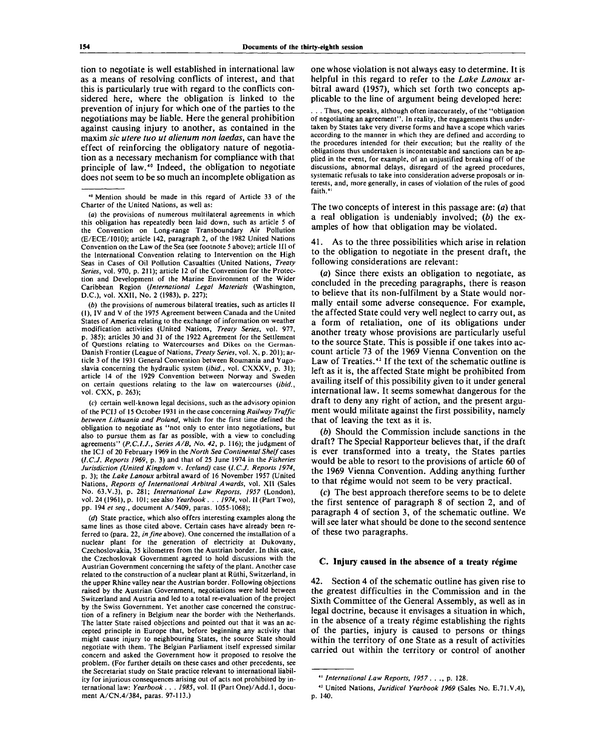tion to negotiate is well established in international law as a means of resolving conflicts of interest, and that this is particularly true with regard to the conflicts considered here, where the obligation is linked to the prevention of injury for which one of the parties to the negotiations may be liable. Here the general prohibition against causing injury to another, as contained in the maxim *sic utere tuo ut alienum non laedas,* can have the effect of reinforcing the obligatory nature of negotiation as a necessary mechanism for compliance with that principle of law.<sup>40</sup> Indeed, the obligation to negotiate does not seem to be so much an incomplete obligation as

*(b)* the provisions of numerous bilateral treaties, such as articles II (1), IV and V of the 1975 Agreement between Canada and the United States of America relating to the exchange of information on weather modification activities (United Nations, *Treaty Series,* vol. 977, p. 385); articles 30 and 31 of the 1922 Agreement for the Settlement of Questions relating to Watercourses and Dikes on the German-Danish Frontier (League of Nations, *Treaty Series,* vol. X, p. 201); article 3 of the 1931 General Convention between Roumania and Yugoslavia concerning the hydraulic system *(ibid.,* vol. CXXXV, p. 31); article 14 of the 1929 Convention between Norway and Sweden on certain questions relating to the law on watercourses *(ibid.,* vol. CXX, p. 263);

*(c)* certain well-known legal decisions, such as the advisory opinion of the PCIJ of 15 October 1931 in the case concerning *Railway Traffic between Lithuania and Poland,* which for the first time defined the obligation to negotiate as "not only to enter into negotiations, but also to pursue them as far as possible, with a view to concluding agreements" *(P.C.I.J., Series A/B, No. 42,* p. 116); the judgment of the ICJ of 20 February 1969 in the *North Sea Continental Shelf* cases *(I.C.J. Reports 1969,* p. 3) and that of 25 June 1974 in the *Fisheries Jurisdiction (United Kingdom* v. *Iceland)* case *(I.C.J. Reports 1974,* p. 3); the *Lake Lanoux* arbitral award of 16 November 1957 (United Nations, *Reports of International Arbitral Awards,* vol. XII (Sales No. 63.V.3), p. 281; *International Law Reports, 1957* (London), vol. 24 (1961), p. 101; see also *Yearbook. . . 1974,* vol. II (Part Two), pp. 194 *et seq.,* document A/5409, paras. 1055-1068);

*(d)* State practice, which also offers interesting examples along the same lines as those cited above. Certain cases have already been referred to (para. 22, *in fine* above). One concerned the installation of a nuclear plant for the generation of electricity at Dukovany, Czechoslovakia, 35 kilometres from the Austrian border. In this case, the Czechoslovak Government agreed to hold discussions with the Austrian Government concerning the safety of the plant. Another case related to the construction of a nuclear plant at Riithi, Switzerland, in the upper Rhine valley near the Austrian border. Following objections raised by the Austrian Government, negotiations were held between Switzerland and Austria and led to a total re-evaluation of the project by the Swiss Government. Yet another case concerned the construction of a refinery in Belgium near the border with the Netherlands. The latter State raised objections and pointed out that it was an accepted principle in Europe that, before beginning any activity that might cause injury to neighbouring States, the source State should negotiate with them. The Belgian Parliament itself expressed similar concern and asked the Government how it proposed to resolve the problem. (For further details on these cases and other precedents, see the Secretariat study on State practice relevant to international liability for injurious consequences arising out of acts not prohibited by international law: *Yearbook . . . 1985,* vol. II (Part One)/Add.l, document A/CN.4/384, paras. 97-113.)

one whose violation is not always easy to determine. It is helpful in this regard to refer to the *Lake Lanoux* arbitral award (1957), which set forth two concepts applicable to the line of argument being developed here:

. Thus, one speaks, although often inaccurately, of the "obligation of negotiating an agreement". In reality, the engagements thus undertaken by States take very diverse forms and have a scope which varies according to the manner in which they are defined and according to the procedures intended for their execution; but the reality of the obligations thus undertaken is incontestable and sanctions can be applied in the event, for example, of an unjustified breaking off of the discussions, abnormal delays, disregard of the agreed procedures, systematic refusals to take into consideration adverse proposals or interests, and, more generally, in cases of violation of the rules of good faith.<sup>4</sup>

The two concepts of interest in this passage are: *(a)* that a real obligation is undeniably involved; *(b)* the examples of how that obligation may be violated.

41. As to the three possibilities which arise in relation to the obligation to negotiate in the present draft, the following considerations are relevant:

*(a)* Since there exists an obligation to negotiate, as concluded in the preceding paragraphs, there is reason to believe that its non-fulfilment by a State would normally entail some adverse consequence. For example, the affected State could very well neglect to carry out, as a form of retaliation, one of its obligations under another treaty whose provisions are particularly useful to the source State. This is possible if one takes into account article 73 of the 1969 Vienna Convention on the Law of Treaties.<sup>42</sup> If the text of the schematic outline is left as it is, the affected State might be prohibited from availing itself of this possibility given to it under general international law. It seems somewhat dangerous for the draft to deny any right of action, and the present argument would militate against the first possibility, namely that of leaving the text as it is.

*(b)* Should the Commission include sanctions in the draft? The Special Rapporteur believes that, if the draft is ever transformed into a treaty, the States parties would be able to resort to the provisions of article 60 of the 1969 Vienna Convention. Adding anything further to that regime would not seem to be very practical.

(c) The best approach therefore seems to be to delete the first sentence of paragraph 8 of section 2, and of paragraph 4 of section 3, of the schematic outline. We will see later what should be done to the second sentence of these two paragraphs.

#### C. **Injury caused in the absence of a treaty regime**

42. Section 4 of the schematic outline has given rise to the greatest difficulties in the Commission and in the Sixth Committee of the General Assembly, as well as in legal doctrine, because it envisages a situation in which, in the absence of a treaty régime establishing the rights of the parties, injury is caused to persons or things within the territory of one State as a result of activities carried out within the territory or control of another

<sup>40</sup> Mention should be made in this regard of Article 33 of the Charter of the United Nations, as well as:

*<sup>(</sup>a)* the provisions of numerous multilateral agreements in which this obligation has repeatedly been laid down, such as article 5 of the Convention on Long-range Transboundary Air Pollution (E/ECE/1010); article 142, paragraph 2, of the 1982 United Nations Convention on the Law of the Sea (see footnote 5 above); article III of the International Convention relating to Intervention on the High Seas in Cases of Oil Pollution Casualties (United Nations, *Treaty Series,* vol. 970, p. 211); article 12 of the Convention for the Protection and Development of the Marine Environment of the Wider Caribbean Region *(International Legal Materials* (Washington, D.C.), vol. XXII, No. 2 (1983), p. 227);

<sup>41</sup>  *International Law Reports, 1957.* . ., p. 128.

*<sup>42</sup>* United Nations, *Juridical Yearbook 1969* (Sales No. E.71.V.4), p. 140.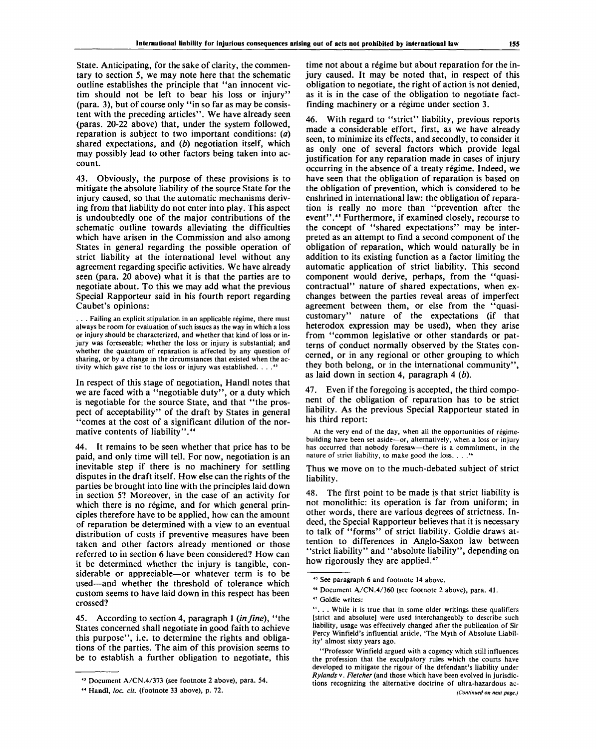State. Anticipating, for the sake of clarity, the commentary to section 5, we may note here that the schematic outline establishes the principle that "an innocent victim should not be left to bear his loss or injury" (para. 3), but of course only "in so far as may be consistent with the preceding articles". We have already seen (paras. 20-22 above) that, under the system followed, reparation is subject to two important conditions: *(a)* shared expectations, and *(b)* negotiation itself, which may possibly lead to other factors being taken into account.

43. Obviously, the purpose of these provisions is to mitigate the absolute liability of the source State for the injury caused, so that the automatic mechanisms deriving from that liability do not enter into play. This aspect is undoubtedly one of the major contributions of the schematic outline towards alleviating the difficulties which have arisen in the Commission and also among States in general regarding the possible operation of strict liability at the international level without any agreement regarding specific activities. We have already seen (para. 20 above) what it is that the parties are to negotiate about. To this we may add what the previous Special Rapporteur said in his fourth report regarding Caubet's opinions:

. Failing an explicit stipulation in an applicable régime, there must always be room for evaluation of such issues as the way in which a loss or injury should be characterized, and whether that kind of loss or injury was foreseeable; whether the loss or injury is substantial; and whether the quantum of reparation is affected by any question of sharing, or by a change in the circumstances that existed when the activity which gave rise to the loss or injury was established. . . ,

In respect of this stage of negotiation, Handl notes that we are faced with a "negotiable duty", or a duty which is negotiable for the source State, and that "the prospect of acceptability" of the draft by States in general "comes at the cost of a significant dilution of the normative contents of liability".<sup>44</sup>

44. It remains to be seen whether that price has to be paid, and only time will tell. For now, negotiation is an inevitable step if there is no machinery for settling disputes in the draft itself. How else can the rights of the parties be brought into line with the principles laid down in section 5? Moreover, in the case of an activity for which there is no régime, and for which general principles therefore have to be applied, how can the amount of reparation be determined with a view to an eventual distribution of costs if preventive measures have been taken and other factors already mentioned or those referred to in section 6 have been considered? How can it be determined whether the injury is tangible, considerable or appreciable—or whatever term is to be used—and whether the threshold of tolerance which custom seems to have laid down in this respect has been crossed?

45. According to section 4, paragraph 1 *(in fine),* "the States concerned shall negotiate in good faith to achieve this purpose", i.e. to determine the rights and obligations of the parties. The aim of this provision seems to be to establish a further obligation to negotiate, this

time not about a régime but about reparation for the injury caused. It may be noted that, in respect of this obligation to negotiate, the right of action is not denied, as it is in the case of the obligation to negotiate factfinding machinery or a regime under section 3.

46. With regard to "strict" liability, previous reports made a considerable effort, first, as we have already seen, to minimize its effects, and secondly, to consider it as only one of several factors which provide legal justification for any reparation made in cases of injury occurring in the absence of a treaty régime. Indeed, we have seen that the obligation of reparation is based on the obligation of prevention, which is considered to be enshrined in international law: the obligation of reparation is really no more than "prevention after the event".<sup>45</sup> Furthermore, if examined closely, recourse to the concept of "shared expectations" may be interpreted as an attempt to find a second component of the obligation of reparation, which would naturally be in addition to its existing function as a factor limiting the automatic application of strict liability. This second component would derive, perhaps, from the "quasicontractual" nature of shared expectations, when exchanges between the parties reveal areas of imperfect agreement between them, or else from the "quasicustomary" nature of the expectations (if that heterodox expression may be used), when they arise from "common legislative or other standards or patterns of conduct normally observed by the States concerned, or in any regional or other grouping to which they both belong, or in the international community", as laid down in section 4, paragraph 4 *(b).*

47. Even if the foregoing is accepted, the third component of the obligation of reparation has to be strict liability. As the previous Special Rapporteur stated in his third report:

At the very end of the day, when all the opportunities of régimebuilding have been set aside—or, alternatively, when a loss or injury has occurred that nobody foresaw—there is a commitment, in the nature of strict liability, to make good the loss. . . . "

Thus we move on to the much-debated subject of strict liability.

48. The first point to be made is that strict liability is not monolithic: its operation is far from uniform; in other words, there are various degrees of strictness. Indeed, the Special Rapporteur believes that it is necessary to talk of "forms" of strict liability. Goldie draws attention to differences in Anglo-Saxon law between "strict liability" and "absolute liability", depending on how rigorously they are applied.<sup>47</sup>

<sup>43</sup> Document A/CN.4/373 (see footnote 2 above), para. 54.

<sup>44</sup> Handl, *loc. cit.* (footnote 33 above), p. 72.

<sup>45</sup> See paragraph 6 and footnote 14 above.

<sup>46</sup> Document A/CN.4/360 (see footnote 2 above), para. 41.

<sup>47</sup> Goldie writes:

<sup>&</sup>quot;.. . While it is true that in some older writings these qualifiers [strict and absolute] were used interchangeably to describe such liability, usage was effectively changed after the publication of Sir Percy Winfield's influential article, 'The Myth of Absolute Liability' almost sixty years ago.

<sup>&</sup>quot;Professor Winfield argued with a cogency which still influences the profession that the exculpatory rules which the courts have developed to mitigate the rigour of the defendant's liability under *Rylands* v. *Fletcher* (and those which have been evolved in jurisdictions recognizing the alternative doctrine of ultra-hazardous ac- *(Continued on next page.)*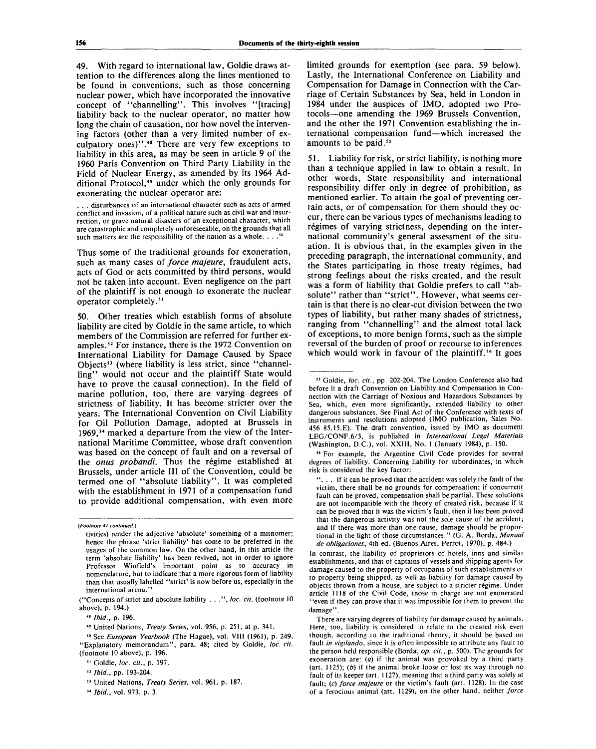49. With regard to international law, Goldie draws attention to the differences along the lines mentioned to be found in conventions, such as those concerning nuclear power, which have incorporated the innovative concept of "channelling". This involves "[tracing] liability back to the nuclear operator, no matter how long the chain of causation, nor how novel the intervening factors (other than a very limited number of exculpatory ones)".<sup>48</sup> There are very few exceptions to liability in this area, as may be seen in article 9 of the 1960 Paris Convention on Third Party Liability in the Field of Nuclear Energy, as amended by its 1964 Additional Protocol,<sup>49</sup> under which the only grounds for exonerating the nuclear operator are:

. . . disturbances of an international character such as acts of armed conflict and invasion, of a political nature such as civil war and insurrection, or grave natural disasters of an exceptional character, which are catastrophic and completely unforeseeable, on the grounds that all such matters are the responsibility of the nation as a whole.  $\ldots$ <sup>50</sup>

Thus some of the traditional grounds for exoneration, such as many cases *of force majeure,* fraudulent acts, acts of God or acts committed by third persons, would not be taken into account. Even negligence on the part of the plaintiff is not enough to exonerate the nuclear operator completely.<sup>51</sup>

50. Other treaties which establish forms of absolute liability are cited by Goldie in the same article, to which members of the Commission are referred for further examples.<sup>52</sup> For instance, there is the 1972 Convention on International Liability for Damage Caused by Space Objects<sup>53</sup> (where liability is less strict, since "channelling" would not occur and the plaintiff State would have to prove the causal connection). In the field of marine pollution, too, there are varying degrees of strictness of liability. It has become stricter over the years. The International Convention on Civil Liability for Oil Pollution Damage, adopted at Brussels in 1969,<sup>54</sup> marked a departure from the view of the International Maritime Committee, whose draft convention was based on the concept of fault and on a reversal of the *onus probandi.* Thus the regime established at Brussels, under article III of the Convention, could be termed one of "absolute liability". It was completed with the establishment in 1971 of a compensation fund to provide additional compensation, with even more limited grounds for exemption (see para. 59 below). Lastly, the International Conference on Liability and Compensation for Damage in Connection with the Carriage of Certain Substances by Sea, held in London in 1984 under the auspices of IMO, adopted two Protocols—one amending the 1969 Brussels Convention, and the other the 1971 Convention establishing the international compensation fund—which increased the amounts to be paid.<sup>55</sup>

51. Liability for risk, or strict liability, is nothing more than a technique applied in law to obtain a result. In other words, State responsibility and international responsibility differ only in degree of prohibition, as mentioned earlier. To attain the goal of preventing certain acts, or of compensation for them should they occur, there can be various types of mechanisms leading to régimes of varying strictness, depending on the international community's general assessment of the situation. It is obvious that, in the examples given in the preceding paragraph, the international community, and the States participating in those treaty régimes, had strong feelings about the risks created, and the result was a form of liability that Goldie prefers to call "absolute" rather than "strict". However, what seems certain is that there is no clear-cut division between the two types of liability, but rather many shades of strictness, ranging from "channelling" and the almost total lack of exceptions, to more benign forms, such as the simple reversal of the burden of proof or recourse to inferences which would work in favour of the plaintiff.<sup>56</sup> It goes

In contrast, the liability of proprietors of hotels, inns and similar establishments, and that of captains of vessels and shipping agents for damage caused to the property of occupants of such establishments or to property being shipped, as well as liability for damage caused by objects thrown from a house, are subject to a stricter régime. Under article 1118 of the Civil Code, those in charge are not exonerated "even if they can prove that it was impossible for them to prevent the damage".

*<sup>(</sup>Footnote 47 continued.)*

tivities) render the adjective 'absolute' something ot a misnomer; hence the phrase 'strict liability' has come to be preferred in the usages of the common law. On the other hand, in this article the term 'absolute liability' has been revived, not in order to ignore Professor Winfield's important point as to accuracy in nomenclature, but to indicate that a more rigorous form of liability than that usually labelled "strict' is now before us, especially in the international arena.

<sup>(&</sup>quot;Concepts of strict and absolute liability . . .", *loc. cit.* (footnote 10 above), p. 194.)

<sup>41</sup>  *Ibid.,* p. 196.

<sup>49</sup> United Nations, *Treaty Series,* vol. 956, p. 251, at p. 341.

<sup>50</sup> See *European Yearbook* (The Hague), vol. VIII (1961), p. 249, "Explanatory memorandum", para. 48; cited by Goldie, *loc. cit.* (footnote 10 above), p. 196.

<sup>51</sup> Goldie, *loc. cit.,* p. 197.

<sup>52</sup>  *Ibid.,* pp. 193-204.

<sup>53</sup> United Nations, *Treaty Series,* vol. 961, p. 187.

<sup>54</sup>  *Ibid.,* vol. 973, p. 3.

<sup>&</sup>lt;sup>55</sup> Goldie, loc. cit., pp. 202-204. The London Conference also had before it a draft Convention on Liability and Compensation in Connection with the Carriage of Noxious and Hazardous Substances by Sea, which, even more significantly, extended liability to other dangerous substances. See Final Act of the Conference with texts of instruments and resolutions adopted (IMO publication, Sales No. 456 85.15.E). The draft convention, issued by IMO as document LEG/CONF.6/3, is published in *International Legal Materials* (Washington, D.C.), vol. XXIII, No. 1 (January 1984), p. 150.

<sup>56</sup> For example, the Argentine Civil Code provides for several degrees of liability. Concerning liability for subordinates, in which risk is considered the key factor:

<sup>&</sup>quot;.. . if it can be proved that the accident was solely the fault of the victim, there shall be no grounds for compensation; if concurrent fault can be proved, compensation shall be partial. These solutions are not incompatible with the theory of created risk, because if it can be proved that it was the victim's fault, then it has been proved that the dangerous activity was not the sole cause of the accident; and if there was more than one cause, damage should be proportional in the light of those circumstances." (G. A. Borda, *Manual de obligaciones,* 4th ed. (Buenos Aires, Perrot, 1970), p. 484.)

There are varying degrees of liability for damage caused by animals. Here, too, liability is considered to relate to the created risk even though, according to the traditional theory, it should be based on fault *in vigilando,* since it is often impossible to attribute any fault to the person held responsible (Borda, *op. cit.,* p. 500). The grounds for exoneration are: *(a)* if the animal was provoked by a third party (art. 1125); *(b)* if the animal broke loose or lost its way through no fault of its keeper (art. 1127), meaning that a third party was solely at fault; *(c) force majeure* or the victim's fault (art. 1128). In the case of a ferocious animal (art. 1129), on the other hand, neither *force*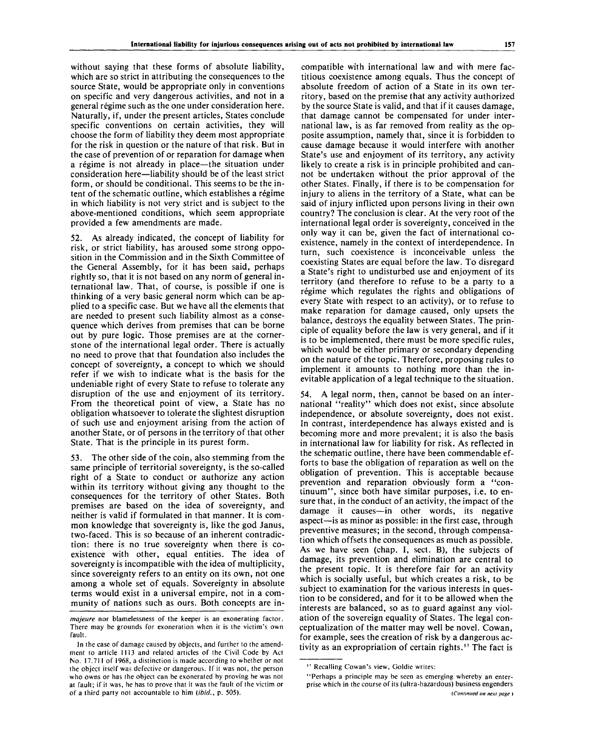without saying that these forms of absolute liability, which are so strict in attributing the consequences to the source State, would be appropriate only in conventions on specific and very dangerous activities, and not in a general régime such as the one under consideration here. Naturally, if, under the present articles, States conclude specific conventions on certain activities, they will choose the form of liability they deem most appropriate for the risk in question or the nature of that risk. But in the case of prevention of or reparation for damage when a régime is not already in place—the situation under consideration here—liability should be of the least strict form, or should be conditional. This seems to be the intent of the schematic outline, which establishes a régime in which liability is not very strict and is subject to the above-mentioned conditions, which seem appropriate provided a few amendments are made.

52. As already indicated, the concept of liability for risk, or strict liability, has aroused some strong opposition in the Commission and in the Sixth Committee of the General Assembly, for it has been said, perhaps rightly so, that it is not based on any norm of general international law. That, of course, is possible if one is thinking of a very basic general norm which can be applied to a specific case. But we have all the elements that are needed to present such liability almost as a consequence which derives from premises that can be borne out by pure logic. Those premises are at the cornerstone of the international legal order. There is actually no need to prove that that foundation also includes the concept of sovereignty, a concept to which we should refer if we wish to indicate what is the basis for the undeniable right of every State to refuse to tolerate any disruption of the use and enjoyment of its territory. From the theoretical point of view, a State has no obligation whatsoever to tolerate the slightest disruption of such use and enjoyment arising from the action of another State, or of persons in the territory of that other State. That is the principle in its purest form.

The other side of the coin, also stemming from the same principle of territorial sovereignty, is the so-called right of a State to conduct or authorize any action within its territory without giving any thought to the consequences for the territory of other States. Both premises are based on the idea of sovereignty, and neither is valid if formulated in that manner. It is common knowledge that sovereignty is, like the god Janus, two-faced. This is so because of an inherent contradiction: there is no true sovereignty when there is coexistence with other, equal entities. The idea of sovereignty is incompatible with the idea of multiplicity, since sovereignty refers to an entity on its own, not one among a whole set of equals. Sovereignty in absolute terms would exist in a universal empire, not in a community of nations such as ours. Both concepts are in-

compatible with international law and with mere factitious coexistence among equals. Thus the concept of absolute freedom of action of a State in its own territory, based on the premise that any activity authorized by the source State is valid, and that if it causes damage, that damage cannot be compensated for under international law, is as far removed from reality as the opposite assumption, namely that, since it is forbidden to cause damage because it would interfere with another State's use and enjoyment of its territory, any activity likely to create a risk is in principle prohibited and cannot be undertaken without the prior approval of the other States. Finally, if there is to be compensation for injury to aliens in the territory of a State, what can be said of injury inflicted upon persons living in their own country? The conclusion is clear. At the very root of the international legal order is sovereignty, conceived in the only way it can be, given the fact of international coexistence, namely in the context of interdependence. In turn, such coexistence is inconceivable unless the coexisting States are equal before the law. To disregard a State's right to undisturbed use and enjoyment of its territory (and therefore to refuse to be a party to a régime which regulates the rights and obligations of every State with respect to an activity), or to refuse to make reparation for damage caused, only upsets the balance, destroys the equality between States. The principle of equality before the law is very general, and if it is to be implemented, there must be more specific rules, which would be either primary or secondary depending on the nature of the topic. Therefore, proposing rules to implement it amounts to nothing more than the inevitable application of a legal technique to the situation.

54. A legal norm, then, cannot be based on an international "reality" which does not exist, since absolute independence, or absolute sovereignty, does not exist. In contrast, interdependence has always existed and is becoming more and more prevalent; it is also the basis in international law for liability for risk. As reflected in the schematic outline, there have been commendable efforts to base the obligation of reparation as well on the obligation of prevention. This is acceptable because prevention and reparation obviously form a "continuum", since both have similar purposes, i.e. to ensure that, in the conduct of an activity, the impact of the damage it causes—in other words, its negative aspect—is as minor as possible: in the first case, through preventive measures; in the second, through compensation which offsets the consequences as much as possible. As we have seen (chap. I, sect. B), the subjects of damage, its prevention and elimination are central to the present topic. It is therefore fair for an activity which is socially useful, but which creates a risk, to be subject to examination for the various interests in question to be considered, and for it to be allowed when the interests are balanced, so as to guard against any violation of the sovereign equality of States. The legal conceptualization of the matter may well be novel. Cowan, for example, sees the creation of risk by a dangerous activity as an expropriation of certain rights.<sup>57</sup> The fact is

*majeure* nor blamelessness of the keeper is an exonerating factor. There may be grounds for exoneration when it is the victim's own fault.

In the case of damage caused by objects, and further to the amendment to article 1113 and related articles of the Civil Code by Act No. 17.711 of 1968, a distinction is made according to whether or not the object itself was defective or dangerous. If it was not, the person who owns or has the object can be exonerated by proving he was not at fault; if it was, he has to prove that it was the fault of the victim or of a third party not accountable to him *(ibid.,* p. 505).

<sup>57</sup> Recalling Cowan's view, Goldie writes:

<sup>&</sup>quot;Perhaps a principle may be seen as emerging whereby an enterprise which in the course of its (ultra-hazardous) business engenders *(Continued on next page )*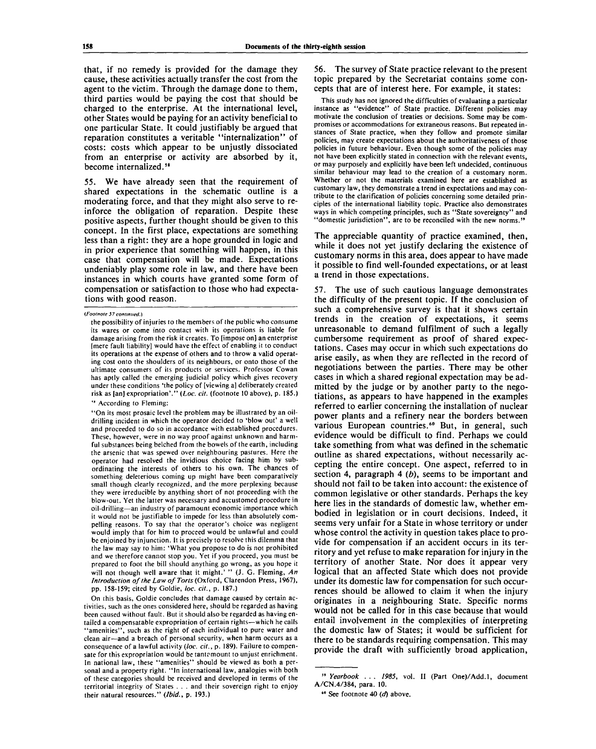that, if no remedy is provided for the damage they cause, these activities actually transfer the cost from the agent to the victim. Through the damage done to them, third parties would be paying the cost that should be charged to the enterprise. At the international level, other States would be paying for an activity beneficial to one particular State. It could justifiably be argued that reparation constitutes a veritable "internalization" of costs: costs which appear to be unjustly dissociated from an enterprise or activity are absorbed by it, become internalized.<sup>58</sup>

55. We have already seen that the requirement of shared expectations in the schematic outline is a moderating force, and that they might also serve to reinforce the obligation of reparation. Despite these positive aspects, further thought should be given to this concept. In the first place, expectations are something less than a right: they are a hope grounded in logic and in prior experience that something will happen, in this case that compensation will be made. Expectations undeniably play some role in law, and there have been instances in which courts have granted some form of compensation or satisfaction to those who had expectations with good reason.

On (his basis, Goldie concludes that damage caused by certain activities, such as the ones considered here, should be regarded as having been caused without fault. But it should also be regarded as having entailed a compensatable expropriation of certain rights—which he calls "amenities", such as the right of each individual to pure water and clean air—and a breach of personal security, when harm occurs as a consequence of a lawful activity *(loc. cit.,* p. 189). Failure to compensate for this expropriation would be tantamount to unjust enrichment. In national law, these "amenities" should be viewed as both a personal and a property right. "In international law, analogies with both of these categories should be received and developed in terms of the territorial integrity of States . . . and their sovereign right to enjoy their natural resources." *(Ibid.,* p. 193.)

56. The survey of State practice relevant to the present topic prepared by the Secretariat contains some concepts that are of interest here. For example, it states:

This study has not ignored the difficulties of evaluating a particular instance as "evidence" of State practice. Different policies may motivate the conclusion of treaties or decisions. Some may be compromises or accommodations for extraneous reasons. But repeated instances of State practice, when they follow and promote similar policies, may create expectations about the authoritativeness of those policies in future behaviour. Even though some of the policies may not have been explicitly stated in connection with the relevant events, or may purposely and explicitly have been left undecided, continuous similar behaviour may lead to the creation of a customary norm. Whether or not the materials examined here are established as customary law, they demonstrate a trend in expectations and may contribute to the clarification of policies concerning some detailed principles of the international liability topic. Practice also demonstrates ways in which competing principles, such as "State sovereignty" and "domestic jurisdiction", are to be reconciled with the new norms."

The appreciable quantity of practice examined, then, while it does not yet justify declaring the existence of customary norms in this area, does appear to have made it possible to find well-founded expectations, or at least a trend in those expectations.

57. The use of such cautious language demonstrates the difficulty of the present topic. If the conclusion of such a comprehensive survey is that it shows certain trends in the creation of expectations, it seems unreasonable to demand fulfilment of such a legally cumbersome requirement as proof of shared expectations. Cases may occur in which such expectations do arise easily, as when they are reflected in the record of negotiations between the parties. There may be other cases in which a shared regional expectation may be admitted by the judge or by another party to the negotiations, as appears to have happened in the examples referred to earlier concerning the installation of nuclear power plants and a refinery near the borders between various European countries.<sup>60</sup> But, in general, such evidence would be difficult to find. Perhaps we could take something from what was defined in the schematic outline as shared expectations, without necessarily accepting the entire concept. One aspect, referred to in section 4, paragraph 4 *(b),* seems to be important and should not fail to be taken into account: the existence of common legislative or other standards. Perhaps the key here lies in the standards of domestic law, whether embodied in legislation or in court decisions. Indeed, it seems very unfair for a State in whose territory or under whose control the activity in question takes place to provide for compensation if an accident occurs in its territory and yet refuse to make reparation for injury in the territory of another State. Nor does it appear very logical that an affected State which does not provide under its domestic law for compensation for such occurrences should be allowed to claim it when the injury originates in a neighbouring State. Specific norms would not be called for in this case because that would entail involvement in the complexities of interpreting the domestic law of States; it would be sufficient for there to be standards requiring compensation. This may provide the draft with sufficiently broad application,

*<sup>{</sup>Footnote 57 continued.)*

the possibility of injuries to the members of the public who consume its wares or come into contact with its operations is liable for damage arising from the risk it creates. To [impose on] an enterprise [mere fault liability] would have the effect of enabling it to conduct its operations at the expense of others and to throw a valid operating cost onto the shoulders of its neighbours, or onto those of the ultimate consumers of its products or services. Professor Cowan has aptly called the emerging judicial policy which gives recovery under these conditions 'the policy of [viewing a] deliberately created risk as [an] expropriation'." *(Loc. cit.* (footnote 10 above), p. 185.)

<sup>&#</sup>x27;" According to Fleming:

<sup>&</sup>quot;On its most prosaic level the problem may be illustrated by an oildrilling incident in which the operator decided to 'blow out' a well and proceeded to do so in accordance with established procedures. These, however, were in no way proof against unknown and harmful substances being belched from the bowels of the earth, including the arsenic that was spewed over neighbouring pastures. Here the operator had resolved the invidious choice facing him by subordinating the interests of others to his own. The chances of something deleterious coming up might have been comparatively small though clearly recognized, and the more perplexing because they were irreducible by anything short of not proceeding with the blow-out. Yet the latter was necessary and accustomed procedure in oil-drilling—an industry of paramount economic importance which it would not be justifiable to impede for less than absolutely compelling reasons. To say that the operator's choice was negligent would imply that for him to proceed would be unlawful and could be enjoined by injunction. It is precisely to resolve this dilemma that the law may say to him: 'What you propose to do is not prohibited and we therefore cannot stop you. Yet if you proceed, you must be prepared to foot the bill should anything go wrong, as you hope it will not though well aware that it might.' " (J. G. Fleming, *An Introduction of the Law of Torts* (Oxford, Clarendon Press, 1967), pp. 158-159; cited by Goldie, *loc. cit.,* p. 187.)

<sup>59</sup>  *Yearbook* . . . *1985,* vol. II (Part One)/Add.l, document A/CN.4/384, para. 10.

<sup>60</sup> See footnote 40 *(d)* above.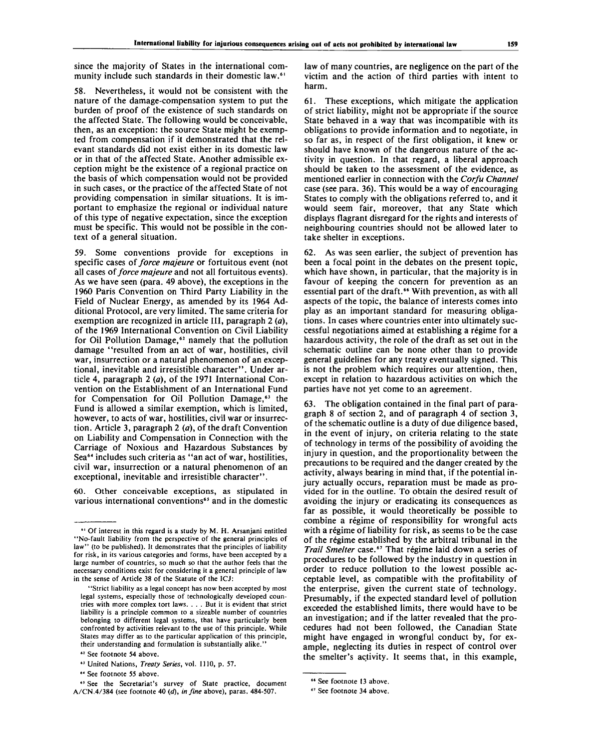since the majority of States in the international community include such standards in their domestic law.<sup>61</sup>

58. Nevertheless, it would not be consistent with the nature of the damage-compensation system to put the burden of proof of the existence of such standards on the affected State. The following would be conceivable, then, as an exception: the source State might be exempted from compensation if it demonstrated that the relevant standards did not exist either in its domestic law or in that of the affected State. Another admissible exception might be the existence of a regional practice on the basis of which compensation would not be provided in such cases, or the practice of the affected State of not providing compensation in similar situations. It is important to emphasize the regional or individual nature of this type of negative expectation, since the exception must be specific. This would not be possible in the context of a general situation.

59. Some conventions provide for exceptions in specific cases *of force majeure* or fortuitous event (not all cases *of force majeure* and not all fortuitous events). As we have seen (para. 49 above), the exceptions in the 1960 Paris Convention on Third Party Liability in the Field of Nuclear Energy, as amended by its 1964 Additional Protocol, are very limited. The same criteria for exemption are recognized in article III, paragraph *2 (a),* of the 1969 International Convention on Civil Liability for Oil Pollution Damage,<sup>62</sup> namely that the pollution damage "resulted from an act of war, hostilities, civil war, insurrection or a natural phenomenon of an exceptional, inevitable and irresistible character". Under article 4, paragraph *2 (a),* of the 1971 International Convention on the Establishment of an International Fund for Compensation for Oil Pollution Damage,<sup>63</sup> the Fund is allowed a similar exemption, which is limited, however, to acts of war, hostilities, civil war or insurrection. Article 3, paragraph 2 *(a),* of the draft Convention on Liability and Compensation in Connection with the Carriage of Noxious and Hazardous Substances by Sea<sup>64</sup> includes such criteria as "an act of war, hostilities, civil war, insurrection or a natural phenomenon of an exceptional, inevitable and irresistible character".

Other conceivable exceptions, as stipulated in various international conventions<sup>65</sup> and in the domestic

law of many countries, are negligence on the part of the victim and the action of third parties with intent to harm.

61. These exceptions, which mitigate the application of strict liability, might not be appropriate if the source State behaved in a way that was incompatible with its obligations to provide information and to negotiate, in so far as, in respect of the first obligation, it knew or should have known of the dangerous nature of the activity in question. In that regard, a liberal approach should be taken to the assessment of the evidence, as mentioned earlier in connection with the *Corfu Channel* case (see para. 36). This would be a way of encouraging States to comply with the obligations referred to, and it would seem fair, moreover, that any State which displays flagrant disregard for the rights and interests of neighbouring countries should not be allowed later to take shelter in exceptions.

62. As was seen earlier, the subject of prevention has been a focal point in the debates on the present topic, which have shown, in particular, that the majority is in favour of keeping the concern for prevention as an essential part of the draft.<sup>66</sup> With prevention, as with all aspects of the topic, the balance of interests comes into play as an important standard for measuring obligations. In cases where countries enter into ultimately successful negotiations aimed at establishing a régime for a hazardous activity, the role of the draft as set out in the schematic outline can be none other than to provide general guidelines for any treaty eventually signed. This is not the problem which requires our attention, then, except in relation to hazardous activities on which the parties have not yet come to an agreement.

63. The obligation contained in the final part of paragraph 8 of section 2, and of paragraph 4 of section 3, of the schematic outline is a duty of due diligence based, in the event of injury, on criteria relating to the state of technology in terms of the possibility of avoiding the injury in question, and the proportionality between the precautions to be required and the danger created by the activity, always bearing in mind that, if the potential injury actually occurs, reparation must be made as provided for in the outline. To obtain the desired result of avoiding the injury or eradicating its consequences as far as possible, it would theoretically be possible to combine a régime of responsibility for wrongful acts with a régime of liability for risk, as seems to be the case of the regime established by the arbitral tribunal in the *Trail Smelter* case.<sup>67</sup> That regime laid down a series of procedures to be followed by the industry in question in order to reduce pollution to the lowest possible acceptable level, as compatible with the profitability of the enterprise, given the current state of technology. Presumably, if the expected standard level of pollution exceeded the established limits, there would have to be an investigation; and if the latter revealed that the procedures had not been followed, the Canadian State might have engaged in wrongful conduct by, for example, neglecting its duties in respect of control over the smelter's activity. It seems that, in this example,

<sup>61</sup> Of interest in this regard is a study by M. H. Arsanjani entitled "No-fault liability from the perspective of the general principles of law" (to be published). It demonstrates that the principles of liability for risk, in its various categories and forms, have been accepted by a large number of countries, so much so that the author feels that the necessary conditions exist for considering it a general principle of law in the sense of Article 38 of the Statute of the ICJ:

<sup>&</sup>quot;Strict liability as a legal concept has now been accepted by most legal systems, especially those of technologically developed countries with more complex tort laws. . . . But it is evident that strict liability is a principle common to a sizeable number of countries belonging to different legal systems, that have particularly been confronted by activities relevant to the use of this principle. While States may differ as to the particular application of this principle, their understanding and formulation is substantially alike."

<sup>62</sup> See footnote 54 above.

<sup>&</sup>quot; United Nations, *Treaty Series,* vol. 1110, p. 57.

<sup>64</sup> See footnote 55 above.

<sup>&</sup>quot; See the Secretariat's survey of State practice, document A/CN.4/384 (see footnote 40 *(d), in fine* above), paras. 484-507.

<sup>\*\*</sup> See footnote 13 above.

*<sup>61</sup>* See footnote 34 above.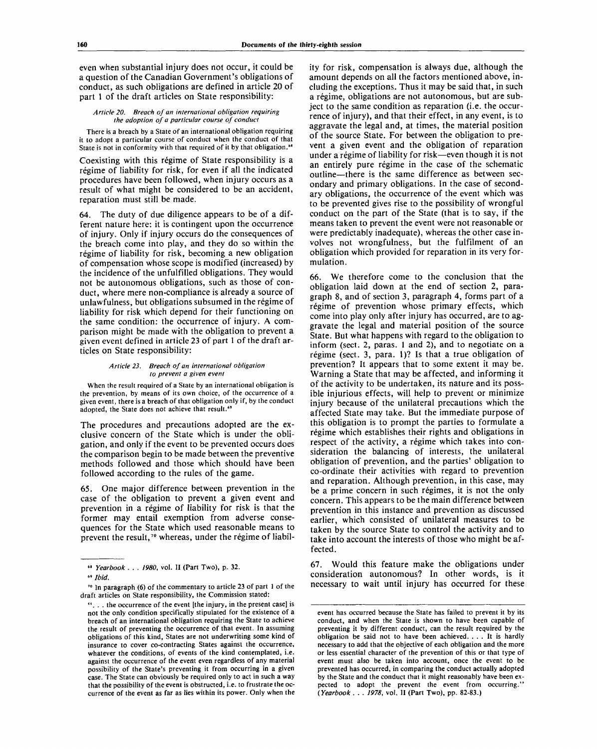even when substantial injury does not occur, it could be a question of the Canadian Government's obligations of conduct, as such obligations are defined in article 20 of part 1 of the draft articles on State responsibility:

#### Article 20. Breach of an international obligation requiring the adoption of a particular course of conduct

There is a breach by a State of an international obligation requiring it to adopt a particular course of conduct when the conduct of that State is not in conformity with that required of it by that obligation.<sup>68</sup>

Coexisting with this régime of State responsibility is a régime of liability for risk, for even if all the indicated procedures have been followed, when injury occurs as a result of what might be considered to be an accident, reparation must still be made.

64. The duty of due diligence appears to be of a different nature here: it is contingent upon the occurrence of injury. Only if injury occurs do the consequences of the breach come into play, and they do so within the régime of liability for risk, becoming a new obligation of compensation whose scope is modified (increased) by the incidence of the unfulfilled obligations. They would not be autonomous obligations, such as those of conduct, where mere non-compliance is already a source of unlawfulness, but obligations subsumed in the regime of liability for risk which depend for their functioning on the same condition: the occurrence of injury. A comparison might be made with the obligation to prevent a given event defined in article 23 of part 1 of the draft articles on State responsibility:

#### *Article 23. Breach of an international obligation to prevent a given event*

When the result required of a State by an international obligation is the prevention, by means of its own choice, of the occurrence of a given event, there is a breach of that obligation only if, by the conduct adopted, the State does not achieve that result.<sup>69</sup>

The procedures and precautions adopted are the exclusive concern of the State which is under the obligation, and only if the event to be prevented occurs does the comparison begin to be made between the preventive methods followed and those which should have been followed according to the rules of the game.

65. One major difference between prevention in the case of the obligation to prevent a given event and prevention in a régime of liability for risk is that the former may entail exemption from adverse consequences for the State which used reasonable means to prevent the result,<sup>70</sup> whereas, under the regime of liability for risk, compensation is always due, although the amount depends on all the factors mentioned above, including the exceptions. Thus it may be said that, in such a régime, obligations are not autonomous, but are subject to the same condition as reparation (i.e. the occurrence of injury), and that their effect, in any event, is to aggravate the legal and, at times, the material position of the source State. For between the obligation to prevent a given event and the obligation of reparation under a régime of liability for risk—even though it is not an entirely pure régime in the case of the schematic outline—there is the same difference as between secondary and primary obligations. In the case of secondary obligations, the occurrence of the event which was to be prevented gives rise to the possibility of wrongful conduct on the part of the State (that is to say, if the means taken to prevent the event were not reasonable or were predictably inadequate), whereas the other case involves not wrongfulness, but the fulfilment of an obligation which provided for reparation in its very formulation.

66. We therefore come to the conclusion that the obligation laid down at the end of section 2, paragraph 8, and of section 3, paragraph 4, forms part of a régime of prevention whose primary effects, which come into play only after injury has occurred, are to aggravate the legal and material position of the source State. But what happens with regard to the obligation to inform (sect. 2, paras. 1 and 2), and to negotiate on a régime (sect. 3, para. 1)? Is that a true obligation of prevention? It appears that to some extent it may be. Warning a State that may be affected, and informing it of the activity to be undertaken, its nature and its possible injurious effects, will help to prevent or minimize injury because of the unilateral precautions which the affected State may take. But the immediate purpose of this obligation is to prompt the parties to formulate a régime which establishes their rights and obligations in respect of the activity, a régime which takes into consideration the balancing of interests, the unilateral obligation of prevention, and the parties' obligation to co-ordinate their activities with regard to prevention and reparation. Although prevention, in this case, may be a prime concern in such régimes, it is not the only concern. This appears to be the main difference between prevention in this instance and prevention as discussed earlier, which consisted of unilateral measures to be taken by the source State to control the activity and to take into account the interests of those who might be affected.

67. Would this feature make the obligations under consideration autonomous? In other words, is it necessary to wait until injury has occurred for these

<sup>61</sup>  *Yearbook . .* . *1980,* vol. II (Part Two), p. 32.

<sup>&</sup>quot; *Ibid.*

<sup>&</sup>lt;sup>70</sup> In paragraph (6) of the commentary to article 23 of part 1 of the draft articles on State responsibility, the Commission stated:

<sup>&</sup>quot;... the occurrence of the event [the injury, in the present case] is not the only condition specifically stipulated for the existence of a breach of an international obligation requiring the State to achieve the result of preventing the occurrence of that event. In assuming obligations of this kind, States are not underwriting some kind of insurance to cover co-contracting States against the occurrence, whatever the conditions, of events of the kind contemplated, i.e. against the occurrence of the event even regardless of any material possibility of the State's preventing it from occurring in a given case. The State can obviously be required only to act in such a way that the possibility of the event is obstructed, i.e. to frustrate the occurrence of the event as far as lies within its power. Only when the

event has occurred because the State has failed to prevent it by its conduct, and when the State is shown to have been capable of preventing it by different conduct, can the result required by the obligation be said not to have been achieved. .. . It is hardly necessary to add that the objective of each obligation and the more or less essential character of the prevention of this or that type of event must also be taken into account, once the event to be prevented has occurred, in comparing the conduct actually adopted by the State and the conduct that it might reasonably have been expected to adopt the prevent the event from occurring." *(Yearbook . . . 1978,* vol. II (Part Two), pp. 82-83.)